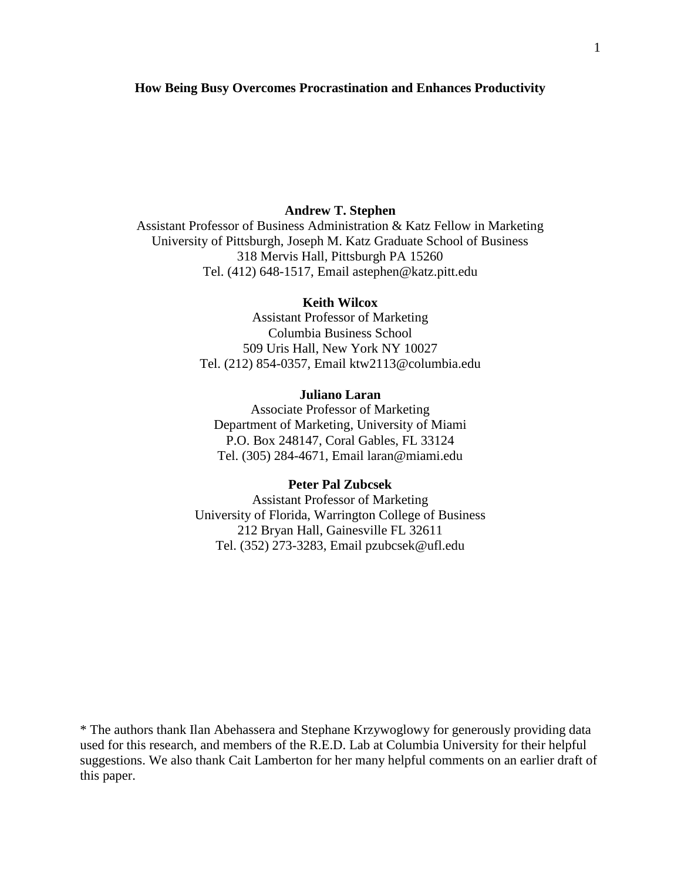#### **How Being Busy Overcomes Procrastination and Enhances Productivity**

## **Andrew T. Stephen**

Assistant Professor of Business Administration & Katz Fellow in Marketing University of Pittsburgh, Joseph M. Katz Graduate School of Business 318 Mervis Hall, Pittsburgh PA 15260 Tel. (412) 648-1517, Email astephen@katz.pitt.edu

## **Keith Wilcox**

Assistant Professor of Marketing Columbia Business School 509 Uris Hall, New York NY 10027 Tel. (212) 854-0357, Email ktw2113@columbia.edu

## **Juliano Laran**

Associate Professor of Marketing Department of Marketing, University of Miami P.O. Box 248147, Coral Gables, FL 33124 Tel. (305) 284-4671, Email laran@miami.edu

#### **Peter Pal Zubcsek**

Assistant Professor of Marketing University of Florida, Warrington College of Business 212 Bryan Hall, Gainesville FL 32611 Tel. (352) 273-3283, Email pzubcsek@ufl.edu

\* The authors thank Ilan Abehassera and Stephane Krzywoglowy for generously providing data used for this research, and members of the R.E.D. Lab at Columbia University for their helpful suggestions. We also thank Cait Lamberton for her many helpful comments on an earlier draft of this paper.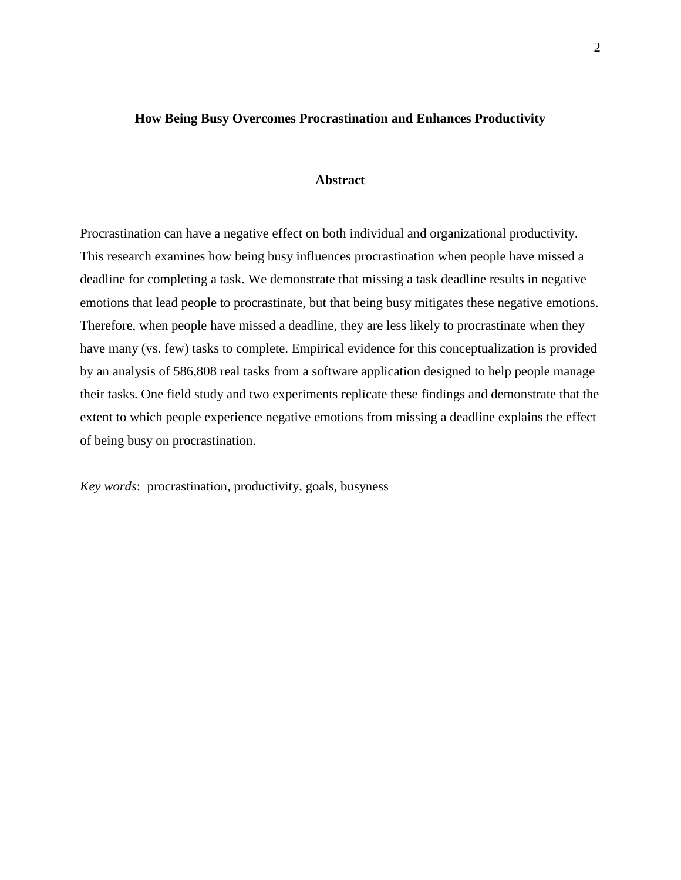#### **How Being Busy Overcomes Procrastination and Enhances Productivity**

## **Abstract**

Procrastination can have a negative effect on both individual and organizational productivity. This research examines how being busy influences procrastination when people have missed a deadline for completing a task. We demonstrate that missing a task deadline results in negative emotions that lead people to procrastinate, but that being busy mitigates these negative emotions. Therefore, when people have missed a deadline, they are less likely to procrastinate when they have many (vs. few) tasks to complete. Empirical evidence for this conceptualization is provided by an analysis of 586,808 real tasks from a software application designed to help people manage their tasks. One field study and two experiments replicate these findings and demonstrate that the extent to which people experience negative emotions from missing a deadline explains the effect of being busy on procrastination.

*Key words*:procrastination, productivity, goals, busyness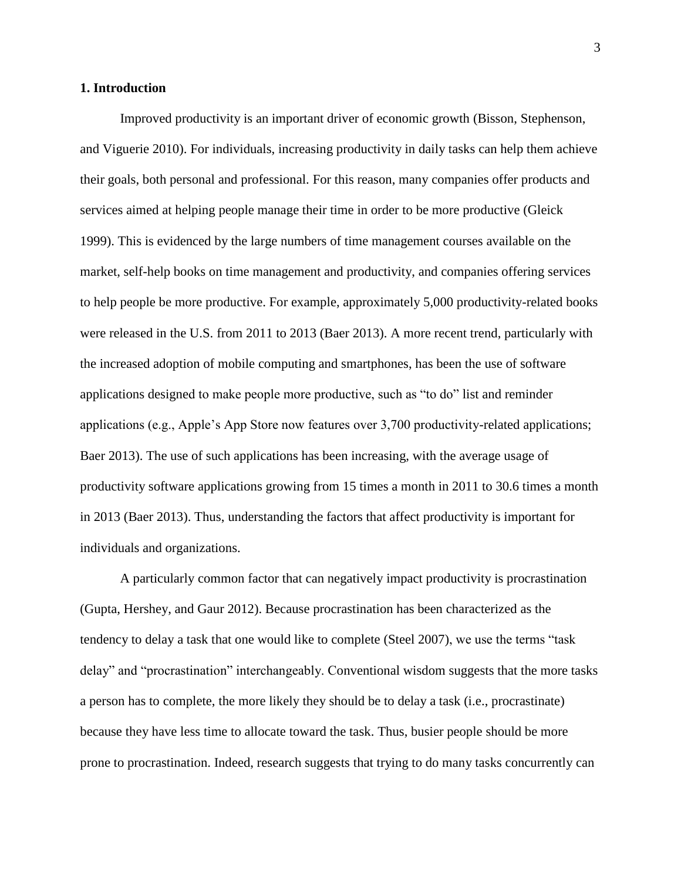#### **1. Introduction**

Improved productivity is an important driver of economic growth (Bisson, Stephenson, and Viguerie 2010). For individuals, increasing productivity in daily tasks can help them achieve their goals, both personal and professional. For this reason, many companies offer products and services aimed at helping people manage their time in order to be more productive (Gleick 1999). This is evidenced by the large numbers of time management courses available on the market, self-help books on time management and productivity, and companies offering services to help people be more productive. For example, approximately 5,000 productivity-related books were released in the U.S. from 2011 to 2013 (Baer 2013). A more recent trend, particularly with the increased adoption of mobile computing and smartphones, has been the use of software applications designed to make people more productive, such as "to do" list and reminder applications (e.g., Apple's App Store now features over 3,700 productivity-related applications; Baer 2013). The use of such applications has been increasing, with the average usage of productivity software applications growing from 15 times a month in 2011 to 30.6 times a month in 2013 (Baer 2013). Thus, understanding the factors that affect productivity is important for individuals and organizations.

A particularly common factor that can negatively impact productivity is procrastination (Gupta, Hershey, and Gaur 2012). Because procrastination has been characterized as the tendency to delay a task that one would like to complete (Steel 2007), we use the terms "task delay" and "procrastination" interchangeably. Conventional wisdom suggests that the more tasks a person has to complete, the more likely they should be to delay a task (i.e., procrastinate) because they have less time to allocate toward the task. Thus, busier people should be more prone to procrastination. Indeed, research suggests that trying to do many tasks concurrently can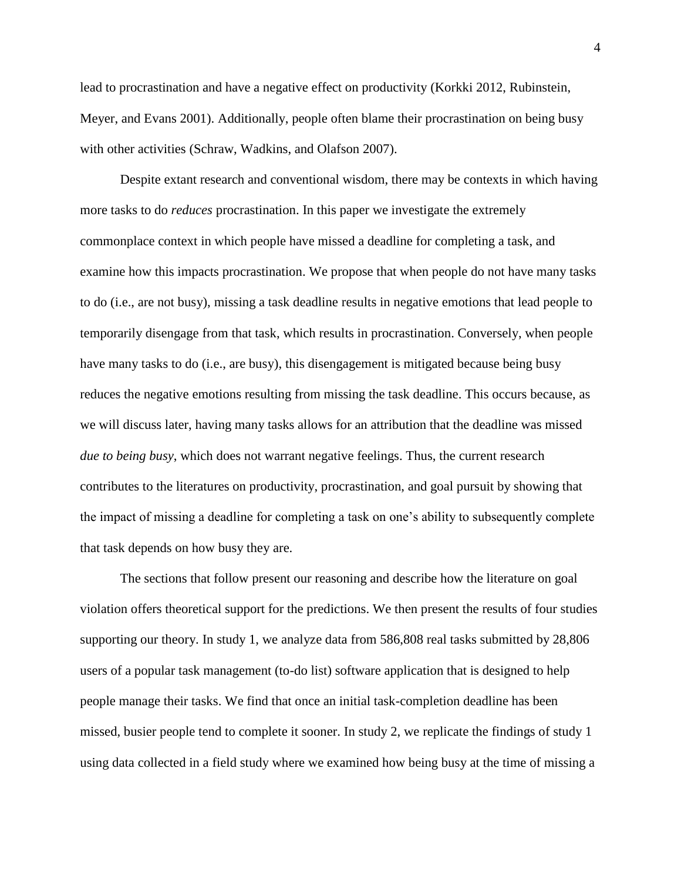lead to procrastination and have a negative effect on productivity (Korkki 2012, Rubinstein, Meyer, and Evans 2001). Additionally, people often blame their procrastination on being busy with other activities (Schraw, Wadkins, and Olafson 2007).

Despite extant research and conventional wisdom, there may be contexts in which having more tasks to do *reduces* procrastination. In this paper we investigate the extremely commonplace context in which people have missed a deadline for completing a task, and examine how this impacts procrastination. We propose that when people do not have many tasks to do (i.e., are not busy), missing a task deadline results in negative emotions that lead people to temporarily disengage from that task, which results in procrastination. Conversely, when people have many tasks to do (i.e., are busy), this disengagement is mitigated because being busy reduces the negative emotions resulting from missing the task deadline. This occurs because, as we will discuss later, having many tasks allows for an attribution that the deadline was missed *due to being busy*, which does not warrant negative feelings. Thus, the current research contributes to the literatures on productivity, procrastination, and goal pursuit by showing that the impact of missing a deadline for completing a task on one's ability to subsequently complete that task depends on how busy they are.

The sections that follow present our reasoning and describe how the literature on goal violation offers theoretical support for the predictions. We then present the results of four studies supporting our theory. In study 1, we analyze data from 586,808 real tasks submitted by 28,806 users of a popular task management (to-do list) software application that is designed to help people manage their tasks. We find that once an initial task-completion deadline has been missed, busier people tend to complete it sooner. In study 2, we replicate the findings of study 1 using data collected in a field study where we examined how being busy at the time of missing a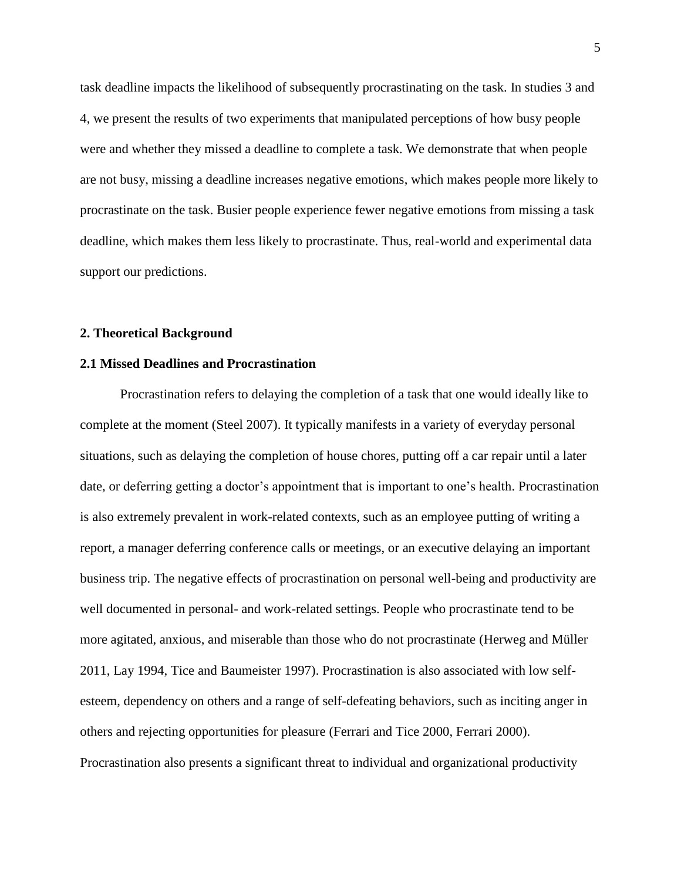task deadline impacts the likelihood of subsequently procrastinating on the task. In studies 3 and 4, we present the results of two experiments that manipulated perceptions of how busy people were and whether they missed a deadline to complete a task. We demonstrate that when people are not busy, missing a deadline increases negative emotions, which makes people more likely to procrastinate on the task. Busier people experience fewer negative emotions from missing a task deadline, which makes them less likely to procrastinate. Thus, real-world and experimental data support our predictions.

#### **2. Theoretical Background**

## **2.1 Missed Deadlines and Procrastination**

Procrastination refers to delaying the completion of a task that one would ideally like to complete at the moment (Steel 2007). It typically manifests in a variety of everyday personal situations, such as delaying the completion of house chores, putting off a car repair until a later date, or deferring getting a doctor's appointment that is important to one's health. Procrastination is also extremely prevalent in work-related contexts, such as an employee putting of writing a report, a manager deferring conference calls or meetings, or an executive delaying an important business trip. The negative effects of procrastination on personal well-being and productivity are well documented in personal- and work-related settings. People who procrastinate tend to be more agitated, anxious, and miserable than those who do not procrastinate (Herweg and Müller 2011, Lay 1994, Tice and Baumeister 1997). Procrastination is also associated with low selfesteem, dependency on others and a range of self-defeating behaviors, such as inciting anger in others and rejecting opportunities for pleasure (Ferrari and Tice 2000, Ferrari 2000). Procrastination also presents a significant threat to individual and organizational productivity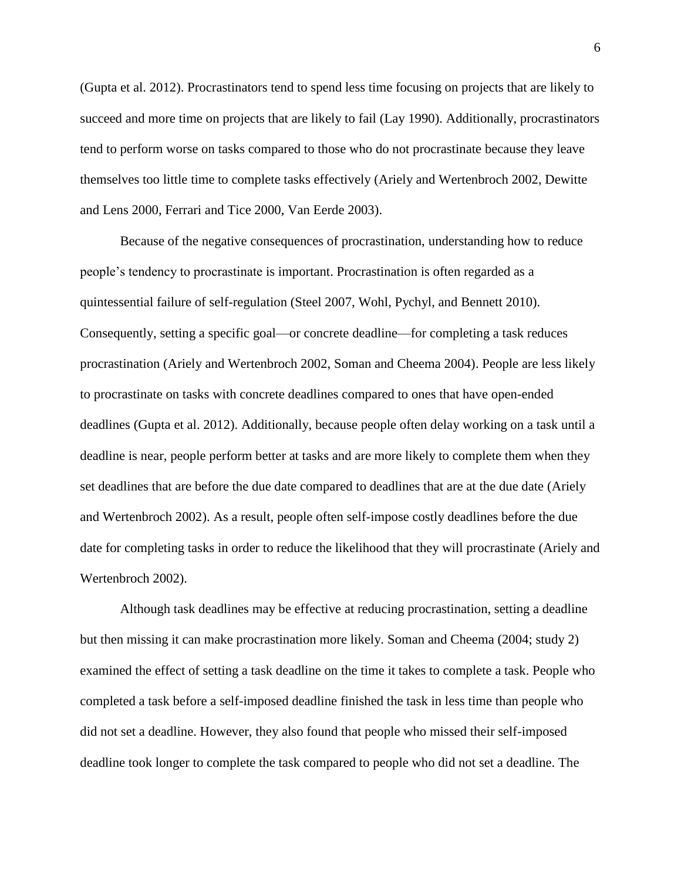(Gupta et al. 2012). Procrastinators tend to spend less time focusing on projects that are likely to succeed and more time on projects that are likely to fail (Lay 1990). Additionally, procrastinators tend to perform worse on tasks compared to those who do not procrastinate because they leave themselves too little time to complete tasks effectively (Ariely and Wertenbroch 2002, Dewitte and Lens 2000, Ferrari and Tice 2000, Van Eerde 2003).

Because of the negative consequences of procrastination, understanding how to reduce people's tendency to procrastinate is important. Procrastination is often regarded as a quintessential failure of self-regulation (Steel 2007, Wohl, Pychyl, and Bennett 2010). Consequently, setting a specific goal—or concrete deadline—for completing a task reduces procrastination (Ariely and Wertenbroch 2002, Soman and Cheema 2004). People are less likely to procrastinate on tasks with concrete deadlines compared to ones that have open-ended deadlines (Gupta et al. 2012). Additionally, because people often delay working on a task until a deadline is near, people perform better at tasks and are more likely to complete them when they set deadlines that are before the due date compared to deadlines that are at the due date (Ariely and Wertenbroch 2002). As a result, people often self-impose costly deadlines before the due date for completing tasks in order to reduce the likelihood that they will procrastinate (Ariely and Wertenbroch 2002).

Although task deadlines may be effective at reducing procrastination, setting a deadline but then missing it can make procrastination more likely. Soman and Cheema (2004; study 2) examined the effect of setting a task deadline on the time it takes to complete a task. People who completed a task before a self-imposed deadline finished the task in less time than people who did not set a deadline. However, they also found that people who missed their self-imposed deadline took longer to complete the task compared to people who did not set a deadline. The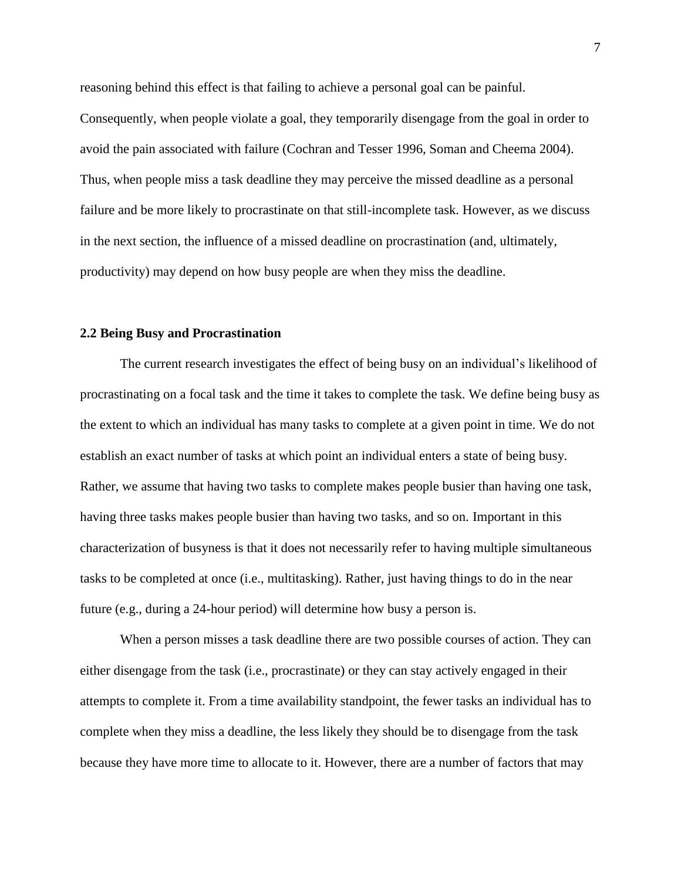reasoning behind this effect is that failing to achieve a personal goal can be painful. Consequently, when people violate a goal, they temporarily disengage from the goal in order to avoid the pain associated with failure (Cochran and Tesser 1996, Soman and Cheema 2004). Thus, when people miss a task deadline they may perceive the missed deadline as a personal failure and be more likely to procrastinate on that still-incomplete task. However, as we discuss in the next section, the influence of a missed deadline on procrastination (and, ultimately, productivity) may depend on how busy people are when they miss the deadline.

#### **2.2 Being Busy and Procrastination**

The current research investigates the effect of being busy on an individual's likelihood of procrastinating on a focal task and the time it takes to complete the task. We define being busy as the extent to which an individual has many tasks to complete at a given point in time. We do not establish an exact number of tasks at which point an individual enters a state of being busy. Rather, we assume that having two tasks to complete makes people busier than having one task, having three tasks makes people busier than having two tasks, and so on. Important in this characterization of busyness is that it does not necessarily refer to having multiple simultaneous tasks to be completed at once (i.e., multitasking). Rather, just having things to do in the near future (e.g., during a 24-hour period) will determine how busy a person is.

When a person misses a task deadline there are two possible courses of action. They can either disengage from the task (i.e., procrastinate) or they can stay actively engaged in their attempts to complete it. From a time availability standpoint, the fewer tasks an individual has to complete when they miss a deadline, the less likely they should be to disengage from the task because they have more time to allocate to it. However, there are a number of factors that may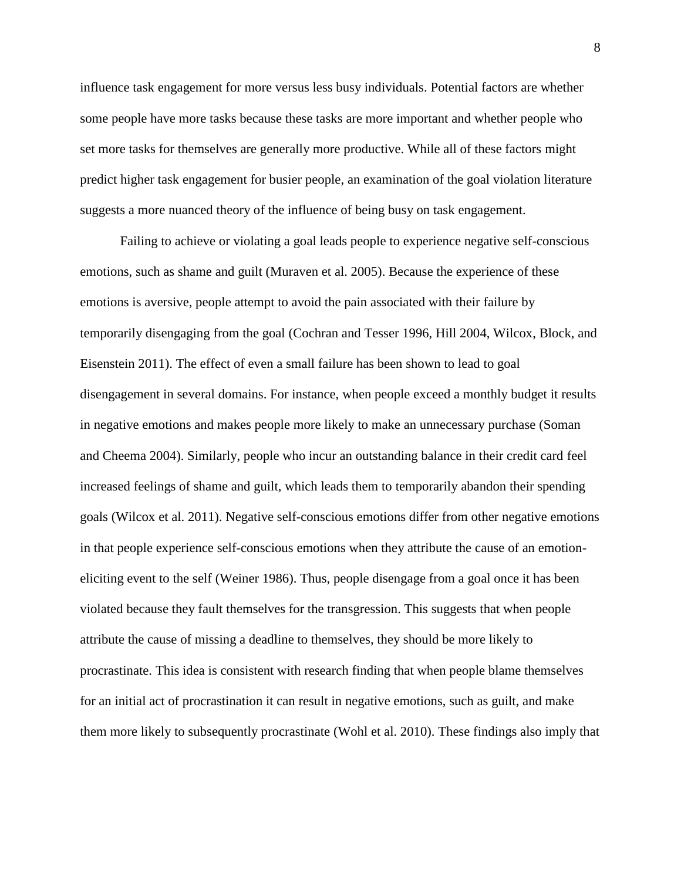influence task engagement for more versus less busy individuals. Potential factors are whether some people have more tasks because these tasks are more important and whether people who set more tasks for themselves are generally more productive. While all of these factors might predict higher task engagement for busier people, an examination of the goal violation literature suggests a more nuanced theory of the influence of being busy on task engagement.

Failing to achieve or violating a goal leads people to experience negative self-conscious emotions, such as shame and guilt (Muraven et al. 2005). Because the experience of these emotions is aversive, people attempt to avoid the pain associated with their failure by temporarily disengaging from the goal (Cochran and Tesser 1996, Hill 2004, Wilcox, Block, and Eisenstein 2011). The effect of even a small failure has been shown to lead to goal disengagement in several domains. For instance, when people exceed a monthly budget it results in negative emotions and makes people more likely to make an unnecessary purchase (Soman and Cheema 2004). Similarly, people who incur an outstanding balance in their credit card feel increased feelings of shame and guilt, which leads them to temporarily abandon their spending goals (Wilcox et al. 2011). Negative self-conscious emotions differ from other negative emotions in that people experience self-conscious emotions when they attribute the cause of an emotioneliciting event to the self (Weiner 1986). Thus, people disengage from a goal once it has been violated because they fault themselves for the transgression. This suggests that when people attribute the cause of missing a deadline to themselves, they should be more likely to procrastinate. This idea is consistent with research finding that when people blame themselves for an initial act of procrastination it can result in negative emotions, such as guilt, and make them more likely to subsequently procrastinate (Wohl et al. 2010). These findings also imply that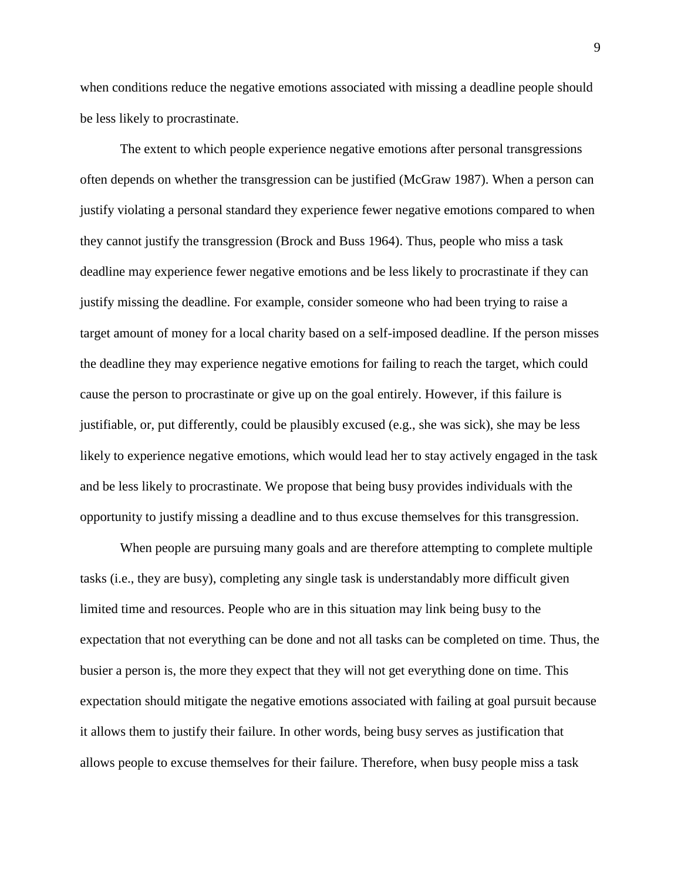when conditions reduce the negative emotions associated with missing a deadline people should be less likely to procrastinate.

The extent to which people experience negative emotions after personal transgressions often depends on whether the transgression can be justified (McGraw 1987). When a person can justify violating a personal standard they experience fewer negative emotions compared to when they cannot justify the transgression (Brock and Buss 1964). Thus, people who miss a task deadline may experience fewer negative emotions and be less likely to procrastinate if they can justify missing the deadline. For example, consider someone who had been trying to raise a target amount of money for a local charity based on a self-imposed deadline. If the person misses the deadline they may experience negative emotions for failing to reach the target, which could cause the person to procrastinate or give up on the goal entirely. However, if this failure is justifiable, or, put differently, could be plausibly excused (e.g., she was sick), she may be less likely to experience negative emotions, which would lead her to stay actively engaged in the task and be less likely to procrastinate. We propose that being busy provides individuals with the opportunity to justify missing a deadline and to thus excuse themselves for this transgression.

When people are pursuing many goals and are therefore attempting to complete multiple tasks (i.e., they are busy), completing any single task is understandably more difficult given limited time and resources. People who are in this situation may link being busy to the expectation that not everything can be done and not all tasks can be completed on time. Thus, the busier a person is, the more they expect that they will not get everything done on time. This expectation should mitigate the negative emotions associated with failing at goal pursuit because it allows them to justify their failure. In other words, being busy serves as justification that allows people to excuse themselves for their failure. Therefore, when busy people miss a task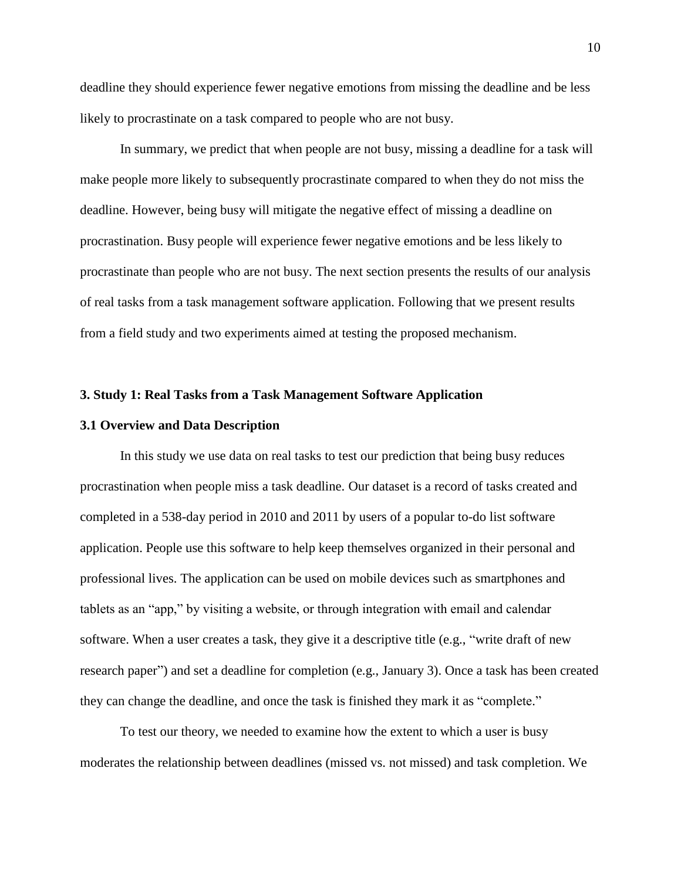deadline they should experience fewer negative emotions from missing the deadline and be less likely to procrastinate on a task compared to people who are not busy.

In summary, we predict that when people are not busy, missing a deadline for a task will make people more likely to subsequently procrastinate compared to when they do not miss the deadline. However, being busy will mitigate the negative effect of missing a deadline on procrastination. Busy people will experience fewer negative emotions and be less likely to procrastinate than people who are not busy. The next section presents the results of our analysis of real tasks from a task management software application. Following that we present results from a field study and two experiments aimed at testing the proposed mechanism.

#### **3. Study 1: Real Tasks from a Task Management Software Application**

#### **3.1 Overview and Data Description**

In this study we use data on real tasks to test our prediction that being busy reduces procrastination when people miss a task deadline. Our dataset is a record of tasks created and completed in a 538-day period in 2010 and 2011 by users of a popular to-do list software application. People use this software to help keep themselves organized in their personal and professional lives. The application can be used on mobile devices such as smartphones and tablets as an "app," by visiting a website, or through integration with email and calendar software. When a user creates a task, they give it a descriptive title (e.g., "write draft of new research paper") and set a deadline for completion (e.g., January 3). Once a task has been created they can change the deadline, and once the task is finished they mark it as "complete."

To test our theory, we needed to examine how the extent to which a user is busy moderates the relationship between deadlines (missed vs. not missed) and task completion. We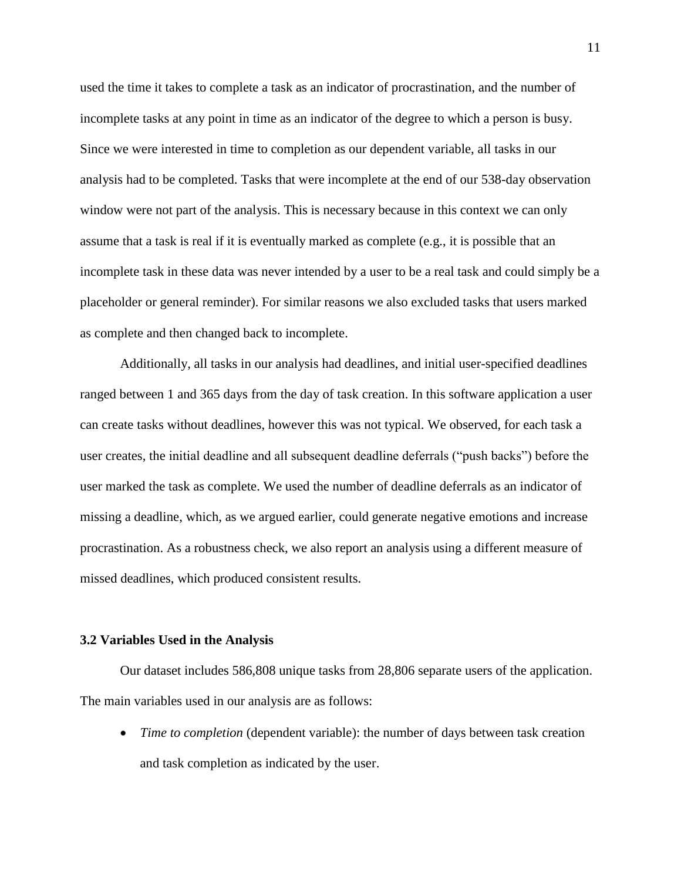used the time it takes to complete a task as an indicator of procrastination, and the number of incomplete tasks at any point in time as an indicator of the degree to which a person is busy. Since we were interested in time to completion as our dependent variable, all tasks in our analysis had to be completed. Tasks that were incomplete at the end of our 538-day observation window were not part of the analysis. This is necessary because in this context we can only assume that a task is real if it is eventually marked as complete (e.g., it is possible that an incomplete task in these data was never intended by a user to be a real task and could simply be a placeholder or general reminder). For similar reasons we also excluded tasks that users marked as complete and then changed back to incomplete.

Additionally, all tasks in our analysis had deadlines, and initial user-specified deadlines ranged between 1 and 365 days from the day of task creation. In this software application a user can create tasks without deadlines, however this was not typical. We observed, for each task a user creates, the initial deadline and all subsequent deadline deferrals ("push backs") before the user marked the task as complete. We used the number of deadline deferrals as an indicator of missing a deadline, which, as we argued earlier, could generate negative emotions and increase procrastination. As a robustness check, we also report an analysis using a different measure of missed deadlines, which produced consistent results.

#### **3.2 Variables Used in the Analysis**

Our dataset includes 586,808 unique tasks from 28,806 separate users of the application. The main variables used in our analysis are as follows:

 *Time to completion* (dependent variable): the number of days between task creation and task completion as indicated by the user.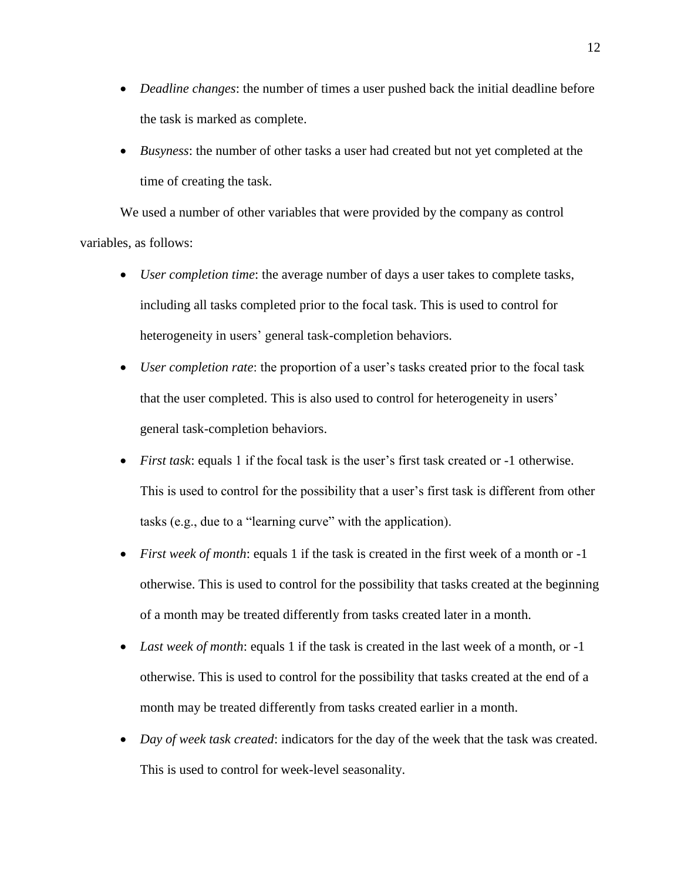- *Deadline changes*: the number of times a user pushed back the initial deadline before the task is marked as complete.
- *Busyness*: the number of other tasks a user had created but not yet completed at the time of creating the task.

We used a number of other variables that were provided by the company as control variables, as follows:

- *User completion time*: the average number of days a user takes to complete tasks, including all tasks completed prior to the focal task. This is used to control for heterogeneity in users' general task-completion behaviors.
- *User completion rate*: the proportion of a user's tasks created prior to the focal task that the user completed. This is also used to control for heterogeneity in users' general task-completion behaviors.
- *First task*: equals 1 if the focal task is the user's first task created or -1 otherwise. This is used to control for the possibility that a user's first task is different from other tasks (e.g., due to a "learning curve" with the application).
- *First week of month*: equals 1 if the task is created in the first week of a month or -1 otherwise. This is used to control for the possibility that tasks created at the beginning of a month may be treated differently from tasks created later in a month.
- *Last week of month*: equals 1 if the task is created in the last week of a month, or -1 otherwise. This is used to control for the possibility that tasks created at the end of a month may be treated differently from tasks created earlier in a month.
- *Day of week task created*: indicators for the day of the week that the task was created. This is used to control for week-level seasonality.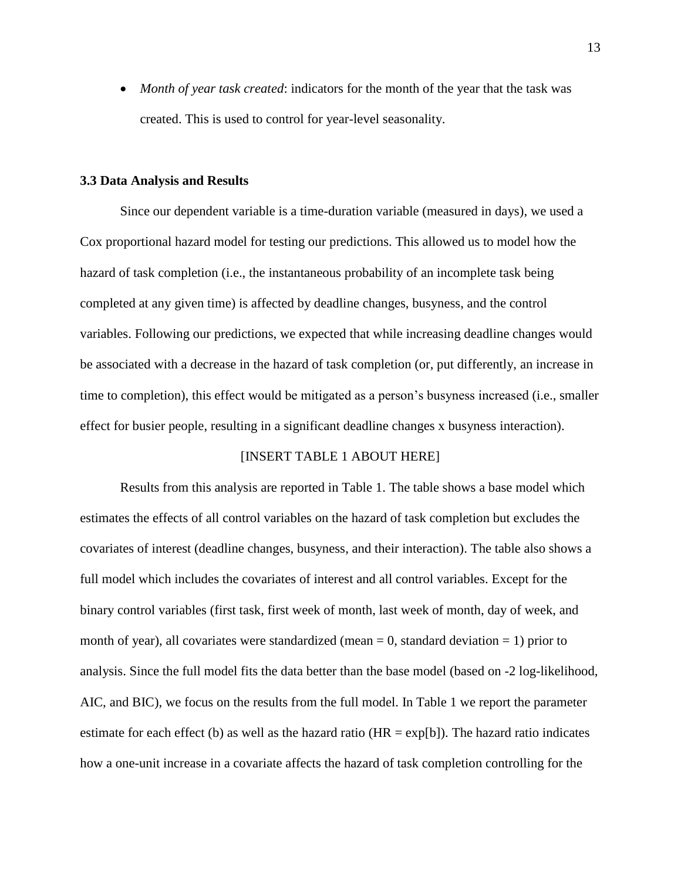*Month of year task created*: indicators for the month of the year that the task was created. This is used to control for year-level seasonality.

#### **3.3 Data Analysis and Results**

Since our dependent variable is a time-duration variable (measured in days), we used a Cox proportional hazard model for testing our predictions. This allowed us to model how the hazard of task completion (i.e., the instantaneous probability of an incomplete task being completed at any given time) is affected by deadline changes, busyness, and the control variables. Following our predictions, we expected that while increasing deadline changes would be associated with a decrease in the hazard of task completion (or, put differently, an increase in time to completion), this effect would be mitigated as a person's busyness increased (i.e., smaller effect for busier people, resulting in a significant deadline changes x busyness interaction).

#### [INSERT TABLE 1 ABOUT HERE]

Results from this analysis are reported in Table 1. The table shows a base model which estimates the effects of all control variables on the hazard of task completion but excludes the covariates of interest (deadline changes, busyness, and their interaction). The table also shows a full model which includes the covariates of interest and all control variables. Except for the binary control variables (first task, first week of month, last week of month, day of week, and month of year), all covariates were standardized (mean  $= 0$ , standard deviation  $= 1$ ) prior to analysis. Since the full model fits the data better than the base model (based on -2 log-likelihood, AIC, and BIC), we focus on the results from the full model. In Table 1 we report the parameter estimate for each effect (b) as well as the hazard ratio ( $HR = \exp[b]$ ). The hazard ratio indicates how a one-unit increase in a covariate affects the hazard of task completion controlling for the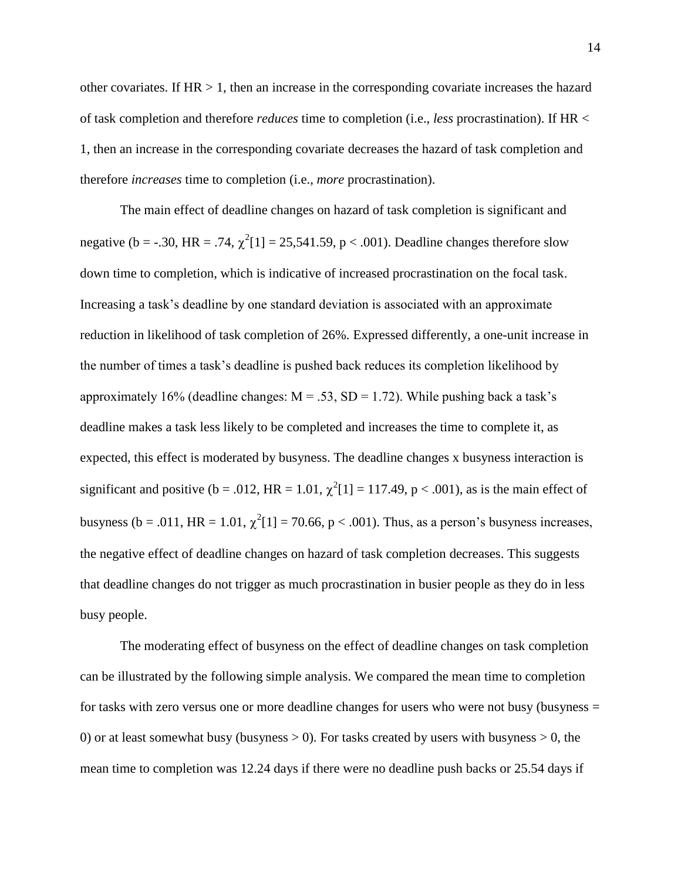other covariates. If  $HR > 1$ , then an increase in the corresponding covariate increases the hazard of task completion and therefore *reduces* time to completion (i.e., *less* procrastination). If HR < 1, then an increase in the corresponding covariate decreases the hazard of task completion and therefore *increases* time to completion (i.e., *more* procrastination).

The main effect of deadline changes on hazard of task completion is significant and negative (b = -.30, HR = .74,  $\chi^2[1]$  = 25,541.59, p < .001). Deadline changes therefore slow down time to completion, which is indicative of increased procrastination on the focal task. Increasing a task's deadline by one standard deviation is associated with an approximate reduction in likelihood of task completion of 26%. Expressed differently, a one-unit increase in the number of times a task's deadline is pushed back reduces its completion likelihood by approximately 16% (deadline changes:  $M = .53$ ,  $SD = 1.72$ ). While pushing back a task's deadline makes a task less likely to be completed and increases the time to complete it, as expected, this effect is moderated by busyness. The deadline changes x busyness interaction is significant and positive ( $b = .012$ , HR = 1.01,  $\chi^2[1] = 117.49$ , p < .001), as is the main effect of busyness (b = .011, HR = 1.01,  $\chi^2[1] = 70.66$ , p < .001). Thus, as a person's busyness increases, the negative effect of deadline changes on hazard of task completion decreases. This suggests that deadline changes do not trigger as much procrastination in busier people as they do in less busy people.

The moderating effect of busyness on the effect of deadline changes on task completion can be illustrated by the following simple analysis. We compared the mean time to completion for tasks with zero versus one or more deadline changes for users who were not busy (busyness = 0) or at least somewhat busy (busyness  $> 0$ ). For tasks created by users with busyness  $> 0$ , the mean time to completion was 12.24 days if there were no deadline push backs or 25.54 days if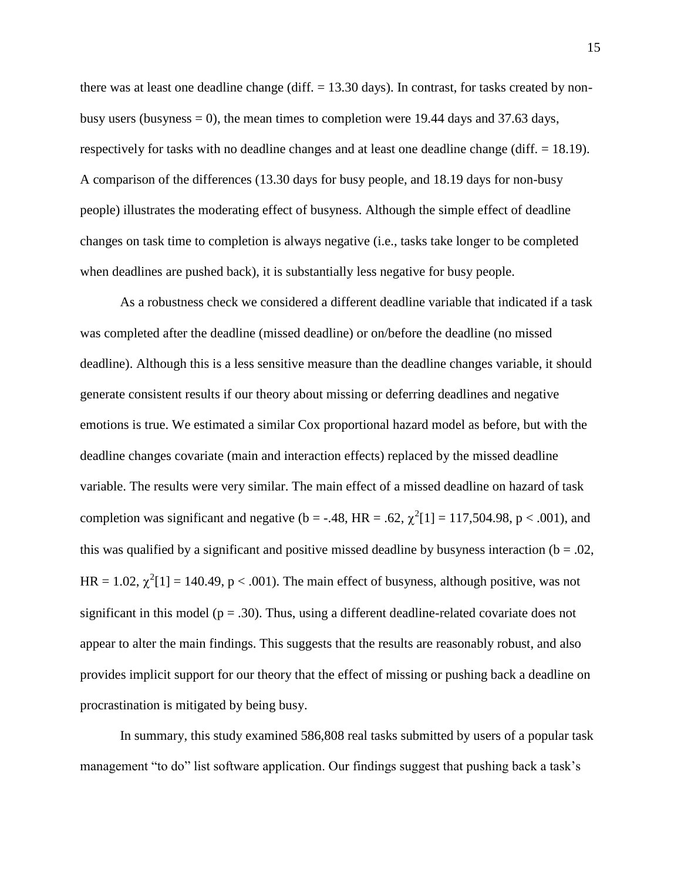there was at least one deadline change (diff.  $= 13.30$  days). In contrast, for tasks created by nonbusy users (busyness  $= 0$ ), the mean times to completion were 19.44 days and 37.63 days, respectively for tasks with no deadline changes and at least one deadline change (diff. = 18.19). A comparison of the differences (13.30 days for busy people, and 18.19 days for non-busy people) illustrates the moderating effect of busyness. Although the simple effect of deadline changes on task time to completion is always negative (i.e., tasks take longer to be completed when deadlines are pushed back), it is substantially less negative for busy people.

As a robustness check we considered a different deadline variable that indicated if a task was completed after the deadline (missed deadline) or on/before the deadline (no missed deadline). Although this is a less sensitive measure than the deadline changes variable, it should generate consistent results if our theory about missing or deferring deadlines and negative emotions is true. We estimated a similar Cox proportional hazard model as before, but with the deadline changes covariate (main and interaction effects) replaced by the missed deadline variable. The results were very similar. The main effect of a missed deadline on hazard of task completion was significant and negative ( $b = -.48$ , HR = .62,  $\chi^2[1] = 117,504.98$ ,  $p < .001$ ), and this was qualified by a significant and positive missed deadline by busyness interaction ( $b = .02$ , HR = 1.02,  $\chi^2[1]$  = 140.49, p < .001). The main effect of busyness, although positive, was not significant in this model ( $p = .30$ ). Thus, using a different deadline-related covariate does not appear to alter the main findings. This suggests that the results are reasonably robust, and also provides implicit support for our theory that the effect of missing or pushing back a deadline on procrastination is mitigated by being busy.

In summary, this study examined 586,808 real tasks submitted by users of a popular task management "to do" list software application. Our findings suggest that pushing back a task's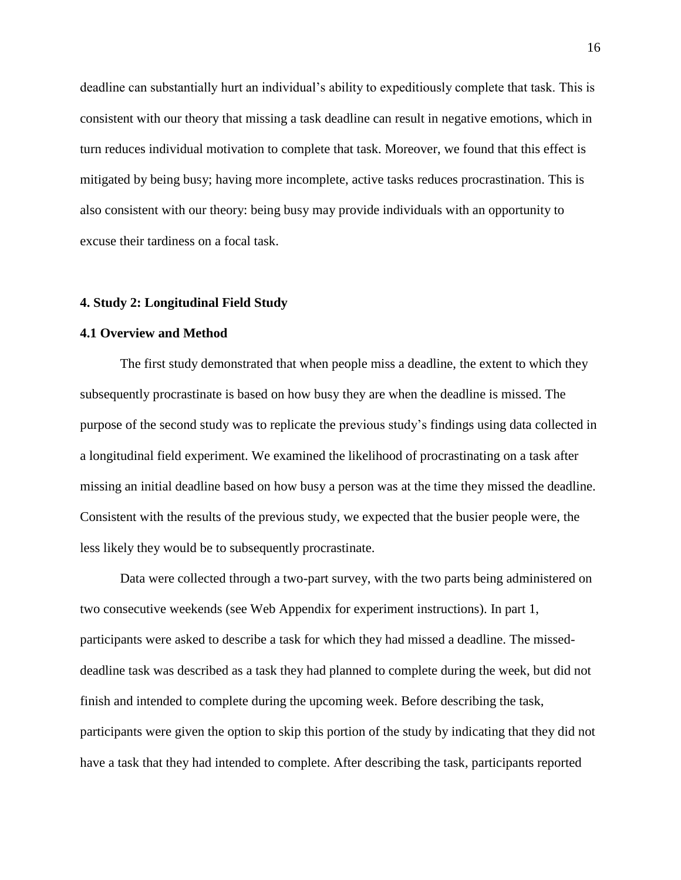deadline can substantially hurt an individual's ability to expeditiously complete that task. This is consistent with our theory that missing a task deadline can result in negative emotions, which in turn reduces individual motivation to complete that task. Moreover, we found that this effect is mitigated by being busy; having more incomplete, active tasks reduces procrastination. This is also consistent with our theory: being busy may provide individuals with an opportunity to excuse their tardiness on a focal task.

#### **4. Study 2: Longitudinal Field Study**

#### **4.1 Overview and Method**

The first study demonstrated that when people miss a deadline, the extent to which they subsequently procrastinate is based on how busy they are when the deadline is missed. The purpose of the second study was to replicate the previous study's findings using data collected in a longitudinal field experiment. We examined the likelihood of procrastinating on a task after missing an initial deadline based on how busy a person was at the time they missed the deadline. Consistent with the results of the previous study, we expected that the busier people were, the less likely they would be to subsequently procrastinate.

Data were collected through a two-part survey, with the two parts being administered on two consecutive weekends (see Web Appendix for experiment instructions). In part 1, participants were asked to describe a task for which they had missed a deadline. The misseddeadline task was described as a task they had planned to complete during the week, but did not finish and intended to complete during the upcoming week. Before describing the task, participants were given the option to skip this portion of the study by indicating that they did not have a task that they had intended to complete. After describing the task, participants reported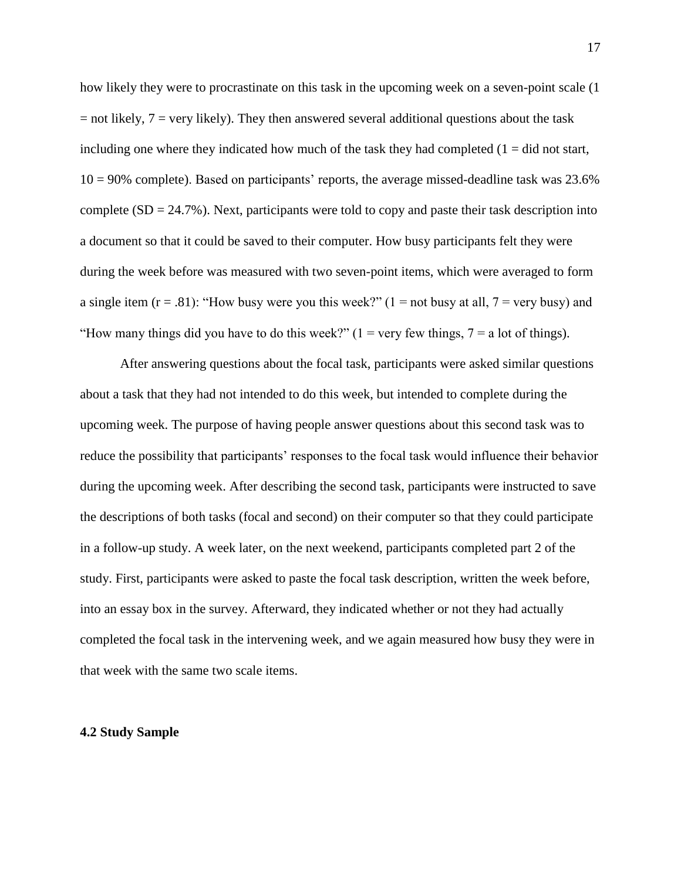how likely they were to procrastinate on this task in the upcoming week on a seven-point scale (1  $=$  not likely,  $7 =$  very likely). They then answered several additional questions about the task including one where they indicated how much of the task they had completed  $(1 = did not start,$  $10 = 90\%$  complete). Based on participants' reports, the average missed-deadline task was 23.6% complete  $(SD = 24.7\%)$ . Next, participants were told to copy and paste their task description into a document so that it could be saved to their computer. How busy participants felt they were during the week before was measured with two seven-point items, which were averaged to form a single item  $(r = .81)$ : "How busy were you this week?"  $(1 = not busy at all, 7 = very busy)$  and "How many things did you have to do this week?"  $(1 = \text{very few things}, 7 = \text{a lot of things}).$ 

After answering questions about the focal task, participants were asked similar questions about a task that they had not intended to do this week, but intended to complete during the upcoming week. The purpose of having people answer questions about this second task was to reduce the possibility that participants' responses to the focal task would influence their behavior during the upcoming week. After describing the second task, participants were instructed to save the descriptions of both tasks (focal and second) on their computer so that they could participate in a follow-up study. A week later, on the next weekend, participants completed part 2 of the study. First, participants were asked to paste the focal task description, written the week before, into an essay box in the survey. Afterward, they indicated whether or not they had actually completed the focal task in the intervening week, and we again measured how busy they were in that week with the same two scale items.

#### **4.2 Study Sample**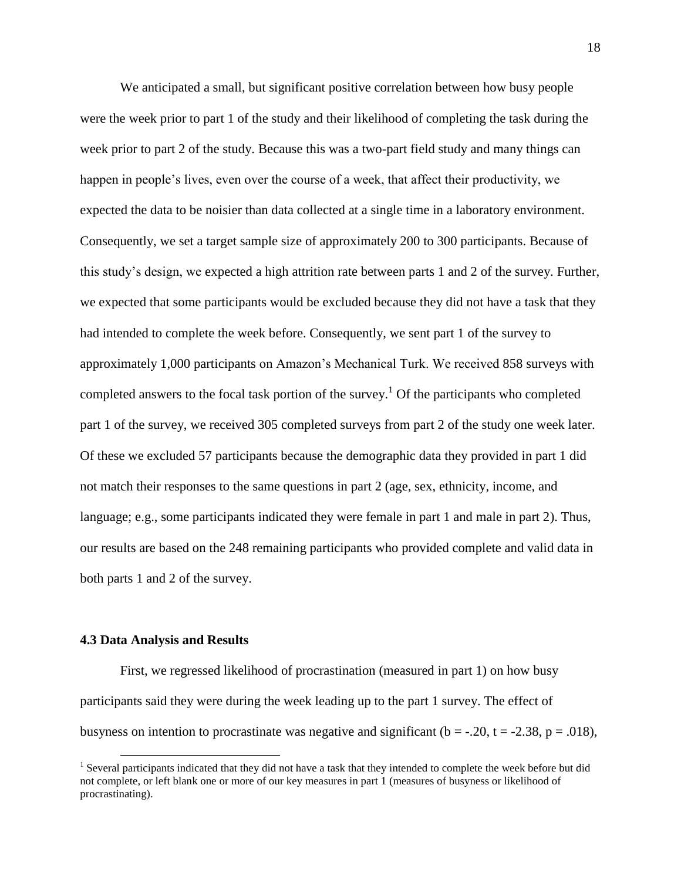We anticipated a small, but significant positive correlation between how busy people were the week prior to part 1 of the study and their likelihood of completing the task during the week prior to part 2 of the study. Because this was a two-part field study and many things can happen in people's lives, even over the course of a week, that affect their productivity, we expected the data to be noisier than data collected at a single time in a laboratory environment. Consequently, we set a target sample size of approximately 200 to 300 participants. Because of this study's design, we expected a high attrition rate between parts 1 and 2 of the survey. Further, we expected that some participants would be excluded because they did not have a task that they had intended to complete the week before. Consequently, we sent part 1 of the survey to approximately 1,000 participants on Amazon's Mechanical Turk. We received 858 surveys with completed answers to the focal task portion of the survey.<sup>1</sup> Of the participants who completed part 1 of the survey, we received 305 completed surveys from part 2 of the study one week later. Of these we excluded 57 participants because the demographic data they provided in part 1 did not match their responses to the same questions in part 2 (age, sex, ethnicity, income, and language; e.g., some participants indicated they were female in part 1 and male in part 2). Thus, our results are based on the 248 remaining participants who provided complete and valid data in both parts 1 and 2 of the survey.

#### **4.3 Data Analysis and Results**

 $\overline{a}$ 

First, we regressed likelihood of procrastination (measured in part 1) on how busy participants said they were during the week leading up to the part 1 survey. The effect of busyness on intention to procrastinate was negative and significant ( $b = -0.20$ ,  $t = -2.38$ ,  $p = 0.018$ ),

<sup>&</sup>lt;sup>1</sup> Several participants indicated that they did not have a task that they intended to complete the week before but did not complete, or left blank one or more of our key measures in part 1 (measures of busyness or likelihood of procrastinating).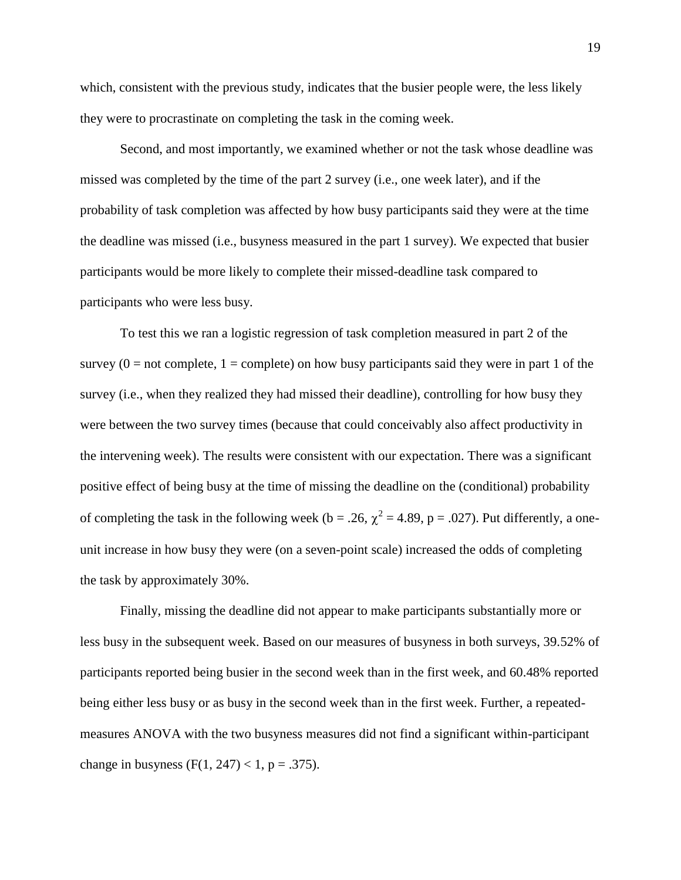which, consistent with the previous study, indicates that the busier people were, the less likely they were to procrastinate on completing the task in the coming week.

Second, and most importantly, we examined whether or not the task whose deadline was missed was completed by the time of the part 2 survey (i.e., one week later), and if the probability of task completion was affected by how busy participants said they were at the time the deadline was missed (i.e., busyness measured in the part 1 survey). We expected that busier participants would be more likely to complete their missed-deadline task compared to participants who were less busy.

To test this we ran a logistic regression of task completion measured in part 2 of the survey  $(0 = not complete, 1 = complete)$  on how busy participants said they were in part 1 of the survey (i.e., when they realized they had missed their deadline), controlling for how busy they were between the two survey times (because that could conceivably also affect productivity in the intervening week). The results were consistent with our expectation. There was a significant positive effect of being busy at the time of missing the deadline on the (conditional) probability of completing the task in the following week (b = .26,  $\chi^2$  = 4.89, p = .027). Put differently, a oneunit increase in how busy they were (on a seven-point scale) increased the odds of completing the task by approximately 30%.

Finally, missing the deadline did not appear to make participants substantially more or less busy in the subsequent week. Based on our measures of busyness in both surveys, 39.52% of participants reported being busier in the second week than in the first week, and 60.48% reported being either less busy or as busy in the second week than in the first week. Further, a repeatedmeasures ANOVA with the two busyness measures did not find a significant within-participant change in busyness (F(1, 247) < 1, p = .375).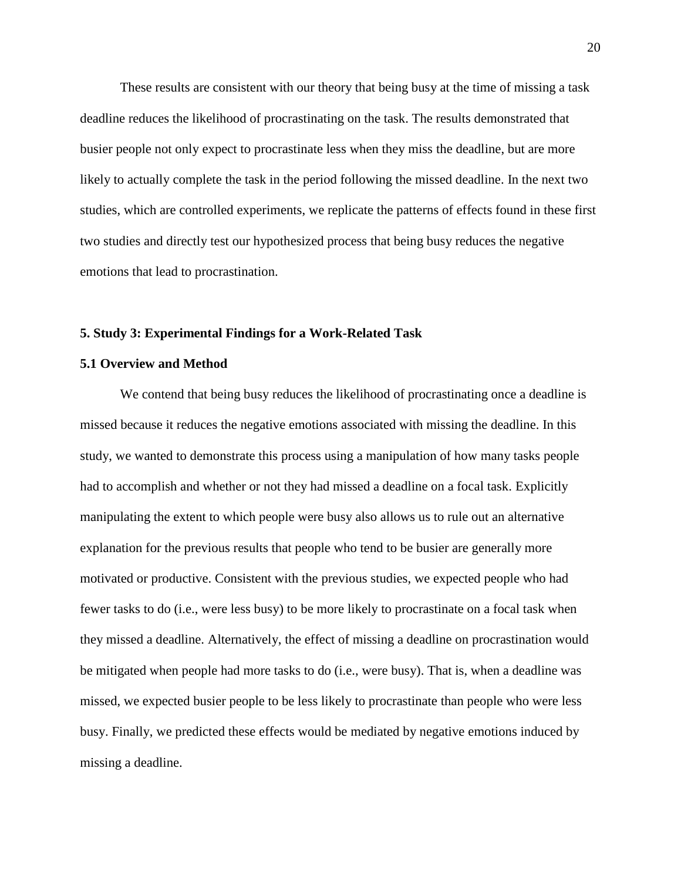These results are consistent with our theory that being busy at the time of missing a task deadline reduces the likelihood of procrastinating on the task. The results demonstrated that busier people not only expect to procrastinate less when they miss the deadline, but are more likely to actually complete the task in the period following the missed deadline. In the next two studies, which are controlled experiments, we replicate the patterns of effects found in these first two studies and directly test our hypothesized process that being busy reduces the negative emotions that lead to procrastination.

#### **5. Study 3: Experimental Findings for a Work-Related Task**

#### **5.1 Overview and Method**

We contend that being busy reduces the likelihood of procrastinating once a deadline is missed because it reduces the negative emotions associated with missing the deadline. In this study, we wanted to demonstrate this process using a manipulation of how many tasks people had to accomplish and whether or not they had missed a deadline on a focal task. Explicitly manipulating the extent to which people were busy also allows us to rule out an alternative explanation for the previous results that people who tend to be busier are generally more motivated or productive. Consistent with the previous studies, we expected people who had fewer tasks to do (i.e., were less busy) to be more likely to procrastinate on a focal task when they missed a deadline. Alternatively, the effect of missing a deadline on procrastination would be mitigated when people had more tasks to do (i.e., were busy). That is, when a deadline was missed, we expected busier people to be less likely to procrastinate than people who were less busy. Finally, we predicted these effects would be mediated by negative emotions induced by missing a deadline.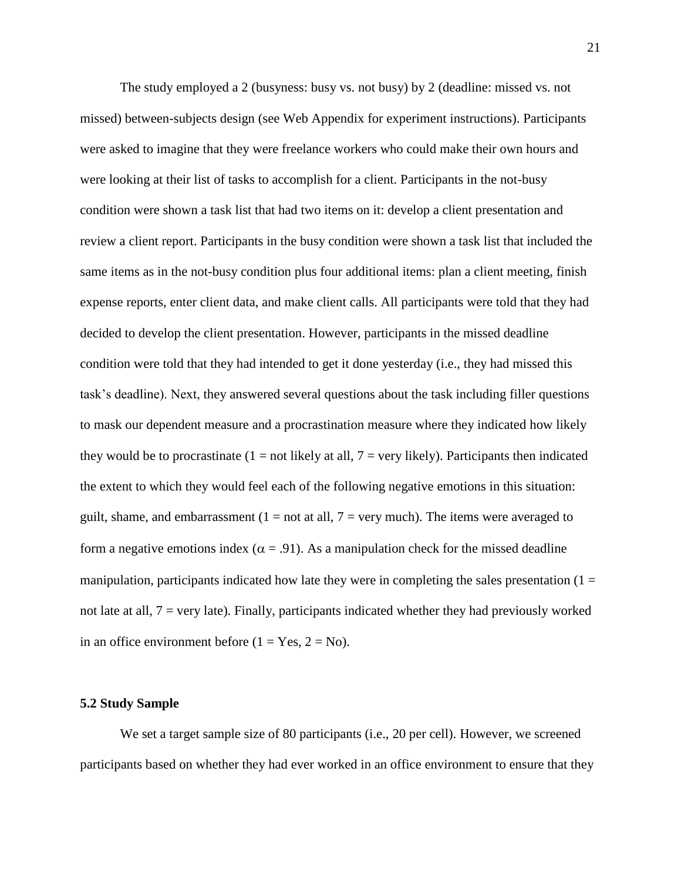The study employed a 2 (busyness: busy vs. not busy) by 2 (deadline: missed vs. not missed) between-subjects design (see Web Appendix for experiment instructions). Participants were asked to imagine that they were freelance workers who could make their own hours and were looking at their list of tasks to accomplish for a client. Participants in the not-busy condition were shown a task list that had two items on it: develop a client presentation and review a client report. Participants in the busy condition were shown a task list that included the same items as in the not-busy condition plus four additional items: plan a client meeting, finish expense reports, enter client data, and make client calls. All participants were told that they had decided to develop the client presentation. However, participants in the missed deadline condition were told that they had intended to get it done yesterday (i.e., they had missed this task's deadline). Next, they answered several questions about the task including filler questions to mask our dependent measure and a procrastination measure where they indicated how likely they would be to procrastinate  $(1 = not likely at all, 7 = very likely)$ . Participants then indicated the extent to which they would feel each of the following negative emotions in this situation: guilt, shame, and embarrassment  $(1 = not at all, 7 = very much)$ . The items were averaged to form a negative emotions index ( $\alpha = .91$ ). As a manipulation check for the missed deadline manipulation, participants indicated how late they were in completing the sales presentation  $(1 =$ not late at all,  $7 = \text{very late}$ ). Finally, participants indicated whether they had previously worked in an office environment before ( $1 = Yes, 2 = No$ ).

## **5.2 Study Sample**

We set a target sample size of 80 participants (i.e., 20 per cell). However, we screened participants based on whether they had ever worked in an office environment to ensure that they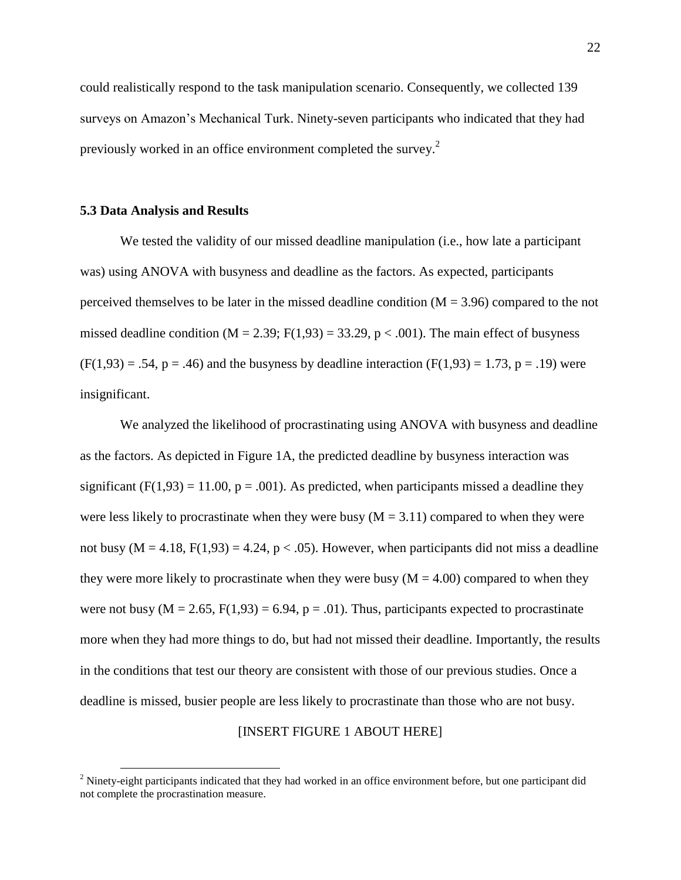could realistically respond to the task manipulation scenario. Consequently, we collected 139 surveys on Amazon's Mechanical Turk. Ninety-seven participants who indicated that they had previously worked in an office environment completed the survey.<sup>2</sup>

#### **5.3 Data Analysis and Results**

 $\overline{a}$ 

We tested the validity of our missed deadline manipulation (*i.e.*, how late a participant was) using ANOVA with busyness and deadline as the factors. As expected, participants perceived themselves to be later in the missed deadline condition ( $M = 3.96$ ) compared to the not missed deadline condition ( $M = 2.39$ ;  $F(1,93) = 33.29$ ,  $p < .001$ ). The main effect of busyness  $(F(1,93) = .54, p = .46)$  and the busyness by deadline interaction  $(F(1,93) = 1.73, p = .19)$  were insignificant.

We analyzed the likelihood of procrastinating using ANOVA with busyness and deadline as the factors. As depicted in Figure 1A, the predicted deadline by busyness interaction was significant (F(1,93) = 11.00, p = .001). As predicted, when participants missed a deadline they were less likely to procrastinate when they were busy  $(M = 3.11)$  compared to when they were not busy ( $M = 4.18$ ,  $F(1,93) = 4.24$ ,  $p < .05$ ). However, when participants did not miss a deadline they were more likely to procrastinate when they were busy ( $M = 4.00$ ) compared to when they were not busy ( $M = 2.65$ ,  $F(1,93) = 6.94$ ,  $p = .01$ ). Thus, participants expected to procrastinate more when they had more things to do, but had not missed their deadline. Importantly, the results in the conditions that test our theory are consistent with those of our previous studies. Once a deadline is missed, busier people are less likely to procrastinate than those who are not busy.

#### [INSERT FIGURE 1 ABOUT HERE]

 $<sup>2</sup>$  Ninety-eight participants indicated that they had worked in an office environment before, but one participant did</sup> not complete the procrastination measure.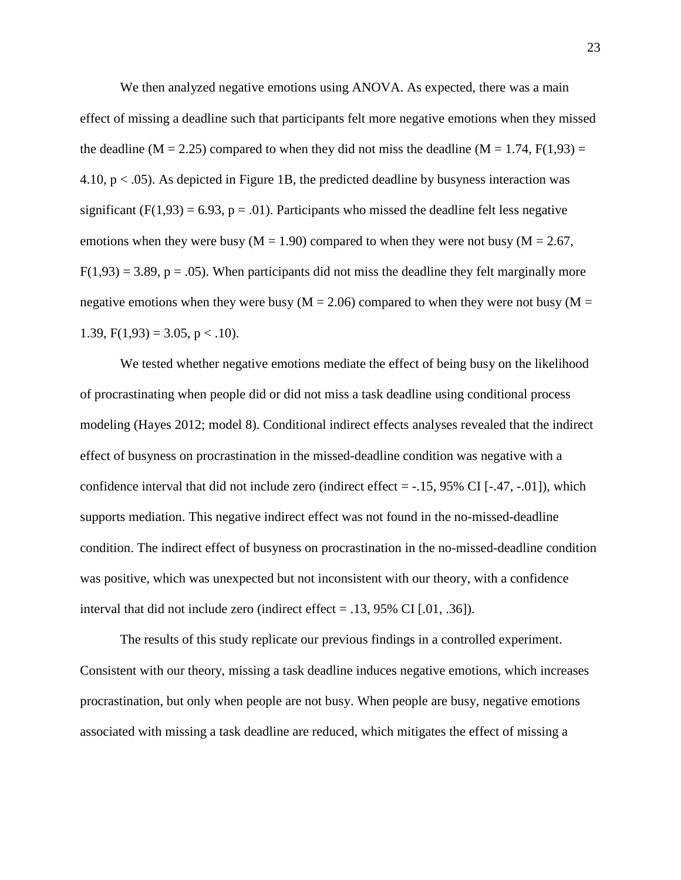We then analyzed negative emotions using ANOVA. As expected, there was a main effect of missing a deadline such that participants felt more negative emotions when they missed the deadline (M = 2.25) compared to when they did not miss the deadline (M = 1.74,  $F(1,93)$ ) = 4.10,  $p < .05$ ). As depicted in Figure 1B, the predicted deadline by busyness interaction was significant (F(1,93) = 6.93, p = .01). Participants who missed the deadline felt less negative emotions when they were busy ( $M = 1.90$ ) compared to when they were not busy ( $M = 2.67$ ,  $F(1,93) = 3.89$ ,  $p = .05$ ). When participants did not miss the deadline they felt marginally more negative emotions when they were busy ( $M = 2.06$ ) compared to when they were not busy ( $M =$ 1.39,  $F(1,93) = 3.05$ ,  $p < .10$ ).

We tested whether negative emotions mediate the effect of being busy on the likelihood of procrastinating when people did or did not miss a task deadline using conditional process modeling (Hayes 2012; model 8). Conditional indirect effects analyses revealed that the indirect effect of busyness on procrastination in the missed-deadline condition was negative with a confidence interval that did not include zero (indirect effect  $=$  -.15, 95% CI [-.47, -.01]), which supports mediation. This negative indirect effect was not found in the no-missed-deadline condition. The indirect effect of busyness on procrastination in the no-missed-deadline condition was positive, which was unexpected but not inconsistent with our theory, with a confidence interval that did not include zero (indirect effect = .13, 95% CI [.01, .36]).

The results of this study replicate our previous findings in a controlled experiment. Consistent with our theory, missing a task deadline induces negative emotions, which increases procrastination, but only when people are not busy. When people are busy, negative emotions associated with missing a task deadline are reduced, which mitigates the effect of missing a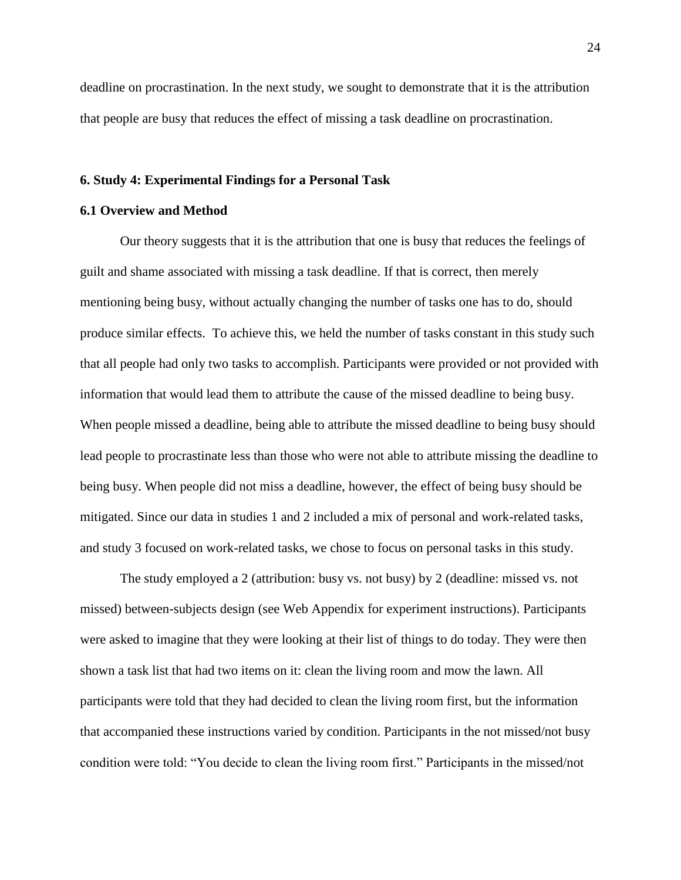deadline on procrastination. In the next study, we sought to demonstrate that it is the attribution that people are busy that reduces the effect of missing a task deadline on procrastination.

#### **6. Study 4: Experimental Findings for a Personal Task**

## **6.1 Overview and Method**

Our theory suggests that it is the attribution that one is busy that reduces the feelings of guilt and shame associated with missing a task deadline. If that is correct, then merely mentioning being busy, without actually changing the number of tasks one has to do, should produce similar effects. To achieve this, we held the number of tasks constant in this study such that all people had only two tasks to accomplish. Participants were provided or not provided with information that would lead them to attribute the cause of the missed deadline to being busy. When people missed a deadline, being able to attribute the missed deadline to being busy should lead people to procrastinate less than those who were not able to attribute missing the deadline to being busy. When people did not miss a deadline, however, the effect of being busy should be mitigated. Since our data in studies 1 and 2 included a mix of personal and work-related tasks, and study 3 focused on work-related tasks, we chose to focus on personal tasks in this study.

The study employed a 2 (attribution: busy vs. not busy) by 2 (deadline: missed vs. not missed) between-subjects design (see Web Appendix for experiment instructions). Participants were asked to imagine that they were looking at their list of things to do today. They were then shown a task list that had two items on it: clean the living room and mow the lawn. All participants were told that they had decided to clean the living room first, but the information that accompanied these instructions varied by condition. Participants in the not missed/not busy condition were told: "You decide to clean the living room first." Participants in the missed/not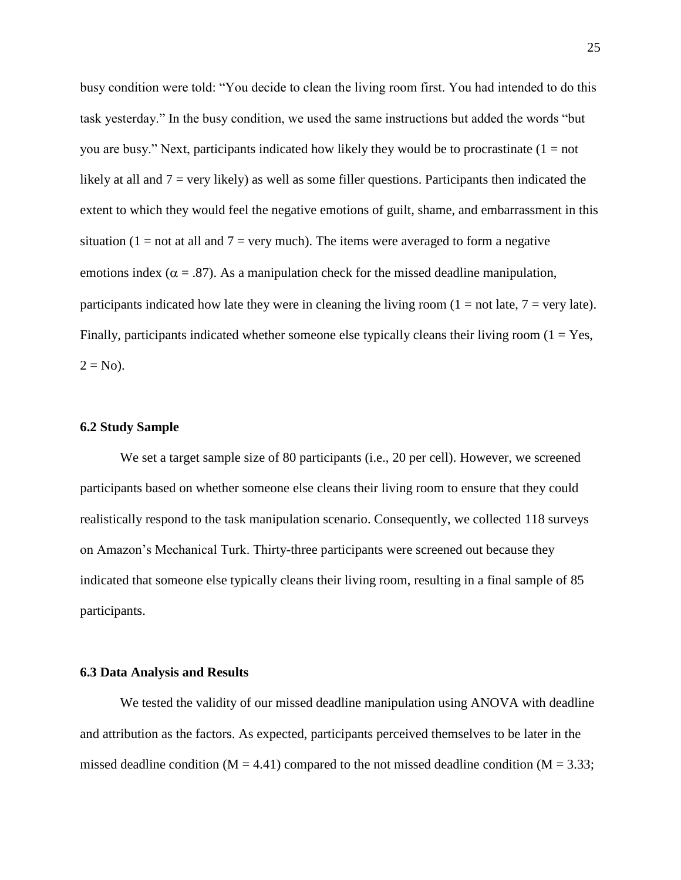busy condition were told: "You decide to clean the living room first. You had intended to do this task yesterday." In the busy condition, we used the same instructions but added the words "but you are busy." Next, participants indicated how likely they would be to procrastinate  $(1 = not$ likely at all and  $7 = \text{very likely}$  as well as some filler questions. Participants then indicated the extent to which they would feel the negative emotions of guilt, shame, and embarrassment in this situation (1 = not at all and  $7 =$  very much). The items were averaged to form a negative emotions index ( $\alpha = .87$ ). As a manipulation check for the missed deadline manipulation, participants indicated how late they were in cleaning the living room  $(1 = not$  late,  $7 = very$  late). Finally, participants indicated whether someone else typically cleans their living room  $(1 - Yes,$  $2 = No$ ).

## **6.2 Study Sample**

We set a target sample size of 80 participants (i.e., 20 per cell). However, we screened participants based on whether someone else cleans their living room to ensure that they could realistically respond to the task manipulation scenario. Consequently, we collected 118 surveys on Amazon's Mechanical Turk. Thirty-three participants were screened out because they indicated that someone else typically cleans their living room, resulting in a final sample of 85 participants.

## **6.3 Data Analysis and Results**

We tested the validity of our missed deadline manipulation using ANOVA with deadline and attribution as the factors. As expected, participants perceived themselves to be later in the missed deadline condition ( $M = 4.41$ ) compared to the not missed deadline condition ( $M = 3.33$ ;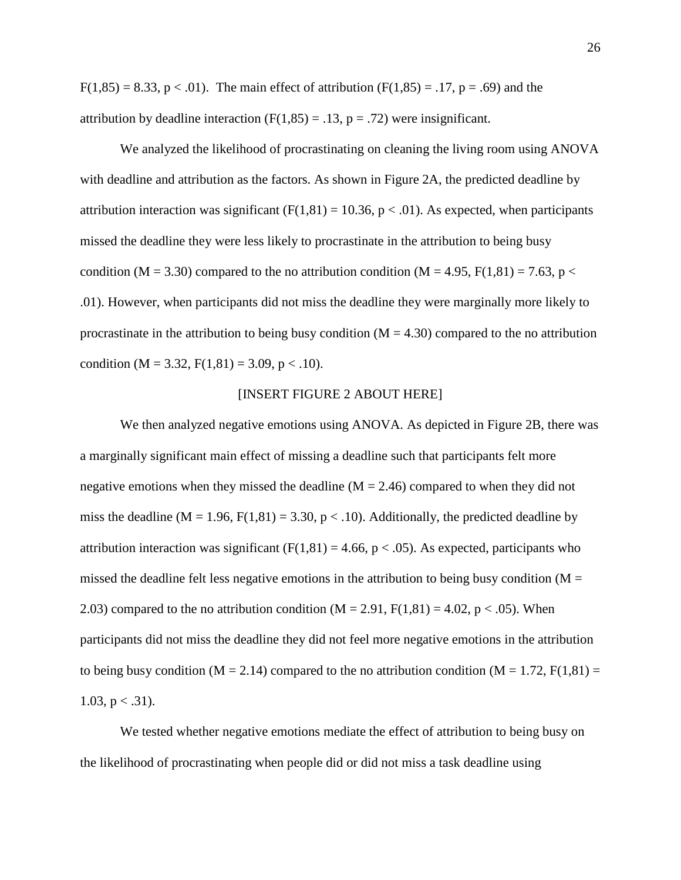F(1,85) = 8.33, p < .01). The main effect of attribution  $(F(1,85) = .17, p = .69)$  and the attribution by deadline interaction  $(F(1,85) = .13, p = .72)$  were insignificant.

We analyzed the likelihood of procrastinating on cleaning the living room using ANOVA with deadline and attribution as the factors. As shown in Figure 2A, the predicted deadline by attribution interaction was significant ( $F(1,81) = 10.36$ ,  $p < .01$ ). As expected, when participants missed the deadline they were less likely to procrastinate in the attribution to being busy condition (M = 3.30) compared to the no attribution condition (M = 4.95, F(1,81) = 7.63, p < .01). However, when participants did not miss the deadline they were marginally more likely to procrastinate in the attribution to being busy condition  $(M = 4.30)$  compared to the no attribution condition (M = 3.32, F(1,81) = 3.09, p < .10).

#### [INSERT FIGURE 2 ABOUT HERE]

We then analyzed negative emotions using ANOVA. As depicted in Figure 2B, there was a marginally significant main effect of missing a deadline such that participants felt more negative emotions when they missed the deadline  $(M = 2.46)$  compared to when they did not miss the deadline ( $M = 1.96$ ,  $F(1,81) = 3.30$ ,  $p < .10$ ). Additionally, the predicted deadline by attribution interaction was significant ( $F(1,81) = 4.66$ ,  $p < .05$ ). As expected, participants who missed the deadline felt less negative emotions in the attribution to being busy condition  $(M =$ 2.03) compared to the no attribution condition  $(M = 2.91, F(1,81) = 4.02, p < .05)$ . When participants did not miss the deadline they did not feel more negative emotions in the attribution to being busy condition (M = 2.14) compared to the no attribution condition (M = 1.72, F(1,81) = 1.03,  $p < .31$ ).

We tested whether negative emotions mediate the effect of attribution to being busy on the likelihood of procrastinating when people did or did not miss a task deadline using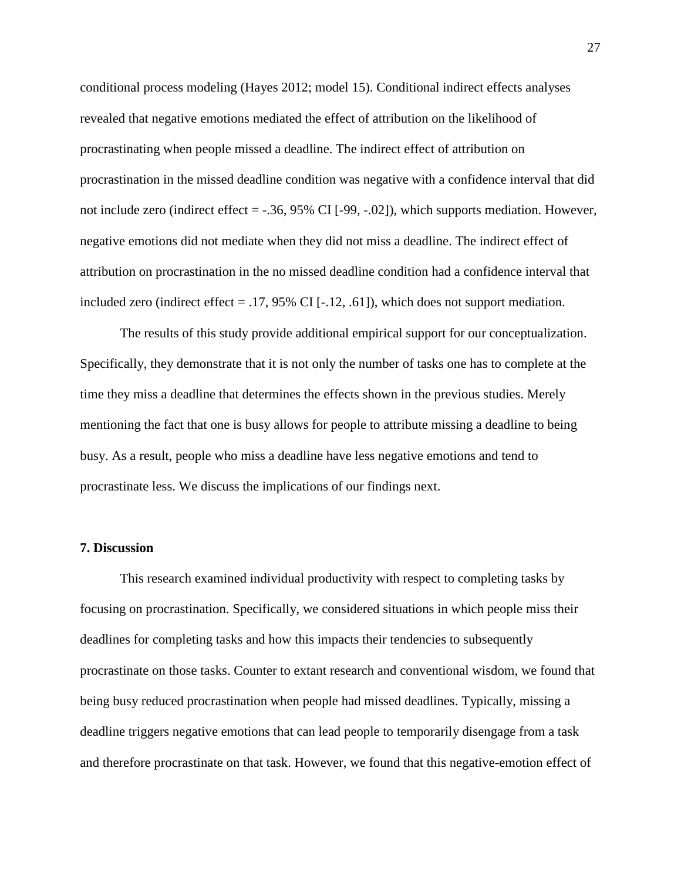conditional process modeling (Hayes 2012; model 15). Conditional indirect effects analyses revealed that negative emotions mediated the effect of attribution on the likelihood of procrastinating when people missed a deadline. The indirect effect of attribution on procrastination in the missed deadline condition was negative with a confidence interval that did not include zero (indirect effect = -.36, 95% CI [-99, -.02]), which supports mediation. However, negative emotions did not mediate when they did not miss a deadline. The indirect effect of attribution on procrastination in the no missed deadline condition had a confidence interval that included zero (indirect effect = .17, 95% CI [-.12, .61]), which does not support mediation.

The results of this study provide additional empirical support for our conceptualization. Specifically, they demonstrate that it is not only the number of tasks one has to complete at the time they miss a deadline that determines the effects shown in the previous studies. Merely mentioning the fact that one is busy allows for people to attribute missing a deadline to being busy. As a result, people who miss a deadline have less negative emotions and tend to procrastinate less. We discuss the implications of our findings next.

## **7. Discussion**

This research examined individual productivity with respect to completing tasks by focusing on procrastination. Specifically, we considered situations in which people miss their deadlines for completing tasks and how this impacts their tendencies to subsequently procrastinate on those tasks. Counter to extant research and conventional wisdom, we found that being busy reduced procrastination when people had missed deadlines. Typically, missing a deadline triggers negative emotions that can lead people to temporarily disengage from a task and therefore procrastinate on that task. However, we found that this negative-emotion effect of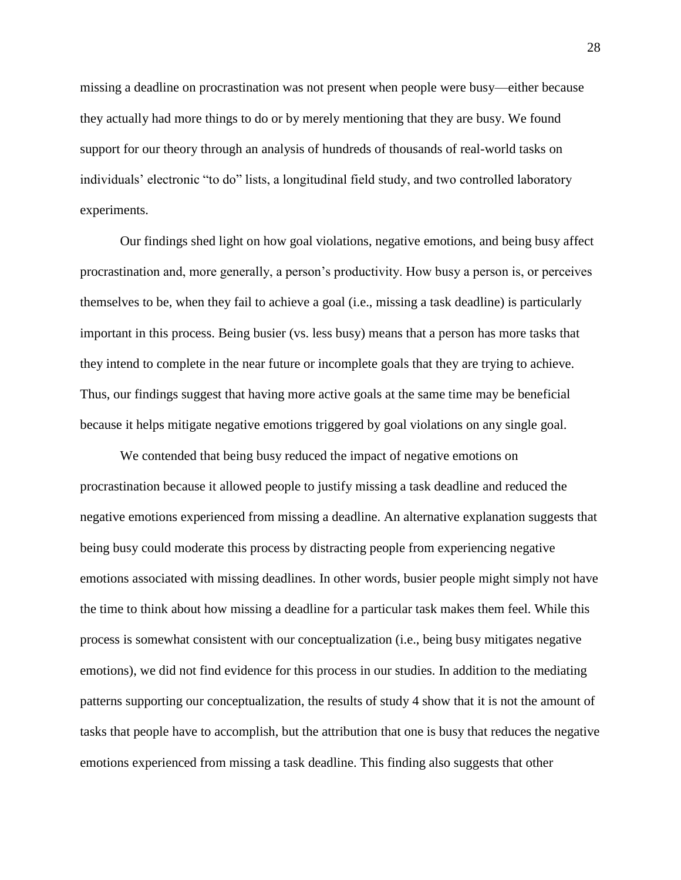missing a deadline on procrastination was not present when people were busy—either because they actually had more things to do or by merely mentioning that they are busy. We found support for our theory through an analysis of hundreds of thousands of real-world tasks on individuals' electronic "to do" lists, a longitudinal field study, and two controlled laboratory experiments.

Our findings shed light on how goal violations, negative emotions, and being busy affect procrastination and, more generally, a person's productivity. How busy a person is, or perceives themselves to be, when they fail to achieve a goal (i.e., missing a task deadline) is particularly important in this process. Being busier (vs. less busy) means that a person has more tasks that they intend to complete in the near future or incomplete goals that they are trying to achieve. Thus, our findings suggest that having more active goals at the same time may be beneficial because it helps mitigate negative emotions triggered by goal violations on any single goal.

We contended that being busy reduced the impact of negative emotions on procrastination because it allowed people to justify missing a task deadline and reduced the negative emotions experienced from missing a deadline. An alternative explanation suggests that being busy could moderate this process by distracting people from experiencing negative emotions associated with missing deadlines. In other words, busier people might simply not have the time to think about how missing a deadline for a particular task makes them feel. While this process is somewhat consistent with our conceptualization (i.e., being busy mitigates negative emotions), we did not find evidence for this process in our studies. In addition to the mediating patterns supporting our conceptualization, the results of study 4 show that it is not the amount of tasks that people have to accomplish, but the attribution that one is busy that reduces the negative emotions experienced from missing a task deadline. This finding also suggests that other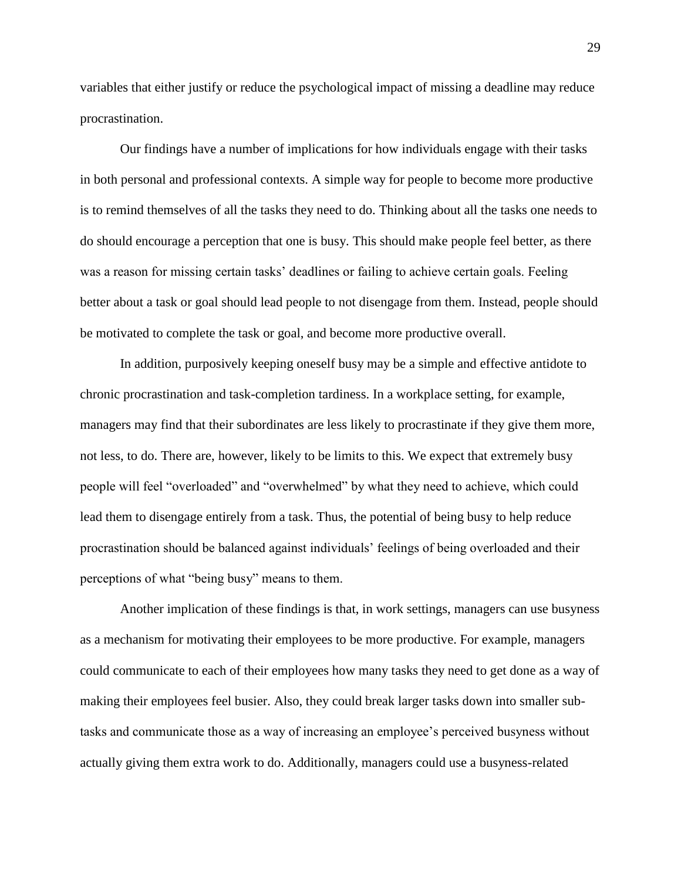variables that either justify or reduce the psychological impact of missing a deadline may reduce procrastination.

Our findings have a number of implications for how individuals engage with their tasks in both personal and professional contexts. A simple way for people to become more productive is to remind themselves of all the tasks they need to do. Thinking about all the tasks one needs to do should encourage a perception that one is busy. This should make people feel better, as there was a reason for missing certain tasks' deadlines or failing to achieve certain goals. Feeling better about a task or goal should lead people to not disengage from them. Instead, people should be motivated to complete the task or goal, and become more productive overall.

In addition, purposively keeping oneself busy may be a simple and effective antidote to chronic procrastination and task-completion tardiness. In a workplace setting, for example, managers may find that their subordinates are less likely to procrastinate if they give them more, not less, to do. There are, however, likely to be limits to this. We expect that extremely busy people will feel "overloaded" and "overwhelmed" by what they need to achieve, which could lead them to disengage entirely from a task. Thus, the potential of being busy to help reduce procrastination should be balanced against individuals' feelings of being overloaded and their perceptions of what "being busy" means to them.

Another implication of these findings is that, in work settings, managers can use busyness as a mechanism for motivating their employees to be more productive. For example, managers could communicate to each of their employees how many tasks they need to get done as a way of making their employees feel busier. Also, they could break larger tasks down into smaller subtasks and communicate those as a way of increasing an employee's perceived busyness without actually giving them extra work to do. Additionally, managers could use a busyness-related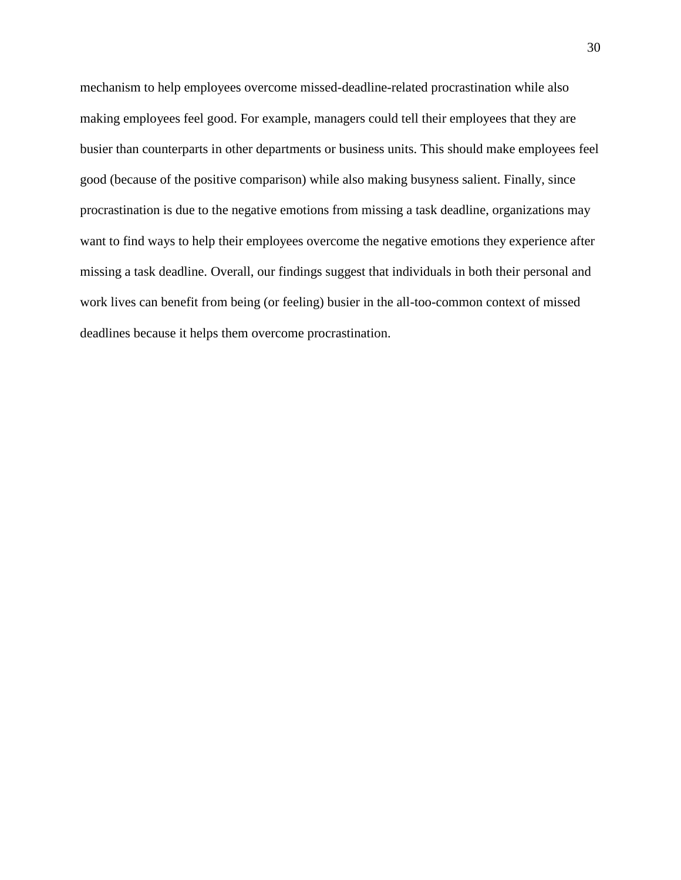mechanism to help employees overcome missed-deadline-related procrastination while also making employees feel good. For example, managers could tell their employees that they are busier than counterparts in other departments or business units. This should make employees feel good (because of the positive comparison) while also making busyness salient. Finally, since procrastination is due to the negative emotions from missing a task deadline, organizations may want to find ways to help their employees overcome the negative emotions they experience after missing a task deadline. Overall, our findings suggest that individuals in both their personal and work lives can benefit from being (or feeling) busier in the all-too-common context of missed deadlines because it helps them overcome procrastination.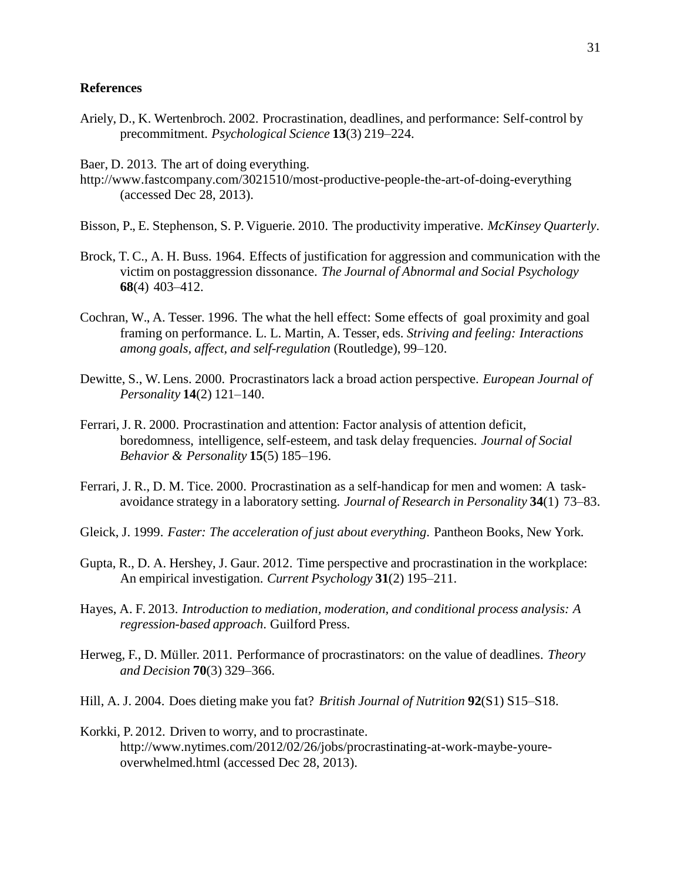## **References**

- Ariely, D., K. Wertenbroch. 2002. Procrastination, deadlines, and performance: Self-control by precommitment. *Psychological Science* **13**(3) 219–224.
- Baer, D. 2013. The art of doing everything.
- http://www.fastcompany.com/3021510/most-productive-people-the-art-of-doing-everything (accessed Dec 28, 2013).
- Bisson, P., E. Stephenson, S. P. Viguerie. 2010. The productivity imperative. *McKinsey Quarterly*.
- Brock, T. C., A. H. Buss. 1964. Effects of justification for aggression and communication with the victim on postaggression dissonance. *The Journal of Abnormal and Social Psychology* **68**(4) 403–412.
- Cochran, W., A. Tesser. 1996. The what the hell effect: Some effects of goal proximity and goal framing on performance. L. L. Martin, A. Tesser, eds. *Striving and feeling: Interactions among goals, affect, and self-regulation* (Routledge), 99–120.
- Dewitte, S., W. Lens. 2000. Procrastinators lack a broad action perspective. *European Journal of Personality* **14**(2) 121–140.
- Ferrari, J. R. 2000. Procrastination and attention: Factor analysis of attention deficit, boredomness, intelligence, self-esteem, and task delay frequencies. *Journal of Social Behavior & Personality* **15**(5) 185–196.
- Ferrari, J. R., D. M. Tice. 2000. Procrastination as a self-handicap for men and women: A taskavoidance strategy in a laboratory setting. *Journal of Research in Personality* **34**(1) 73–83.
- Gleick, J. 1999. *Faster: The acceleration of just about everything*. Pantheon Books, New York.
- Gupta, R., D. A. Hershey, J. Gaur. 2012. Time perspective and procrastination in the workplace: An empirical investigation. *Current Psychology* **31**(2) 195–211.
- Hayes, A. F. 2013. *Introduction to mediation, moderation, and conditional process analysis: A regression-based approach*. Guilford Press.
- Herweg, F., D. Müller. 2011. Performance of procrastinators: on the value of deadlines. *Theory and Decision* **70**(3) 329–366.
- Hill, A. J. 2004. Does dieting make you fat? *British Journal of Nutrition* **92**(S1) S15–S18.
- Korkki, P. 2012. Driven to worry, and to procrastinate. http://www.nytimes.com/2012/02/26/jobs/procrastinating-at-work-maybe-youreoverwhelmed.html (accessed Dec 28, 2013).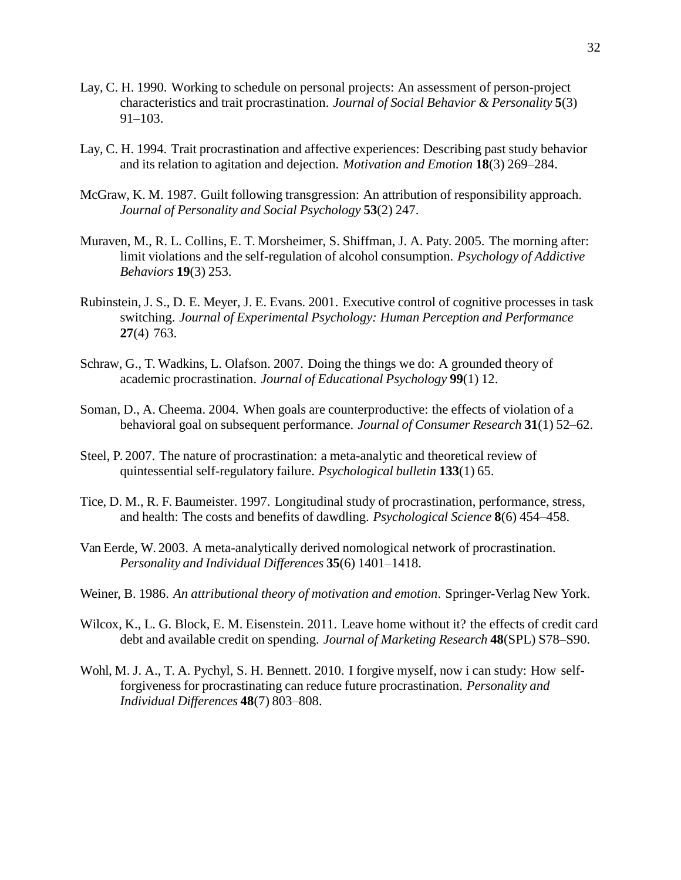- Lay, C. H. 1990. Working to schedule on personal projects: An assessment of person-project characteristics and trait procrastination. *Journal of Social Behavior & Personality* **5**(3) 91–103.
- Lay, C. H. 1994. Trait procrastination and affective experiences: Describing past study behavior and its relation to agitation and dejection. *Motivation and Emotion* **18**(3) 269–284.
- McGraw, K. M. 1987. Guilt following transgression: An attribution of responsibility approach. *Journal of Personality and Social Psychology* **53**(2) 247.
- Muraven, M., R. L. Collins, E. T. Morsheimer, S. Shiffman, J. A. Paty. 2005. The morning after: limit violations and the self-regulation of alcohol consumption. *Psychology of Addictive Behaviors* **19**(3) 253.
- Rubinstein, J. S., D. E. Meyer, J. E. Evans. 2001. Executive control of cognitive processes in task switching. *Journal of Experimental Psychology: Human Perception and Performance* **27**(4) 763.
- Schraw, G., T. Wadkins, L. Olafson. 2007. Doing the things we do: A grounded theory of academic procrastination. *Journal of Educational Psychology* **99**(1) 12.
- Soman, D., A. Cheema. 2004. When goals are counterproductive: the effects of violation of a behavioral goal on subsequent performance. *Journal of Consumer Research* **31**(1) 52–62.
- Steel, P. 2007. The nature of procrastination: a meta-analytic and theoretical review of quintessential self-regulatory failure. *Psychological bulletin* **133**(1) 65.
- Tice, D. M., R. F. Baumeister. 1997. Longitudinal study of procrastination, performance, stress, and health: The costs and benefits of dawdling. *Psychological Science* **8**(6) 454–458.
- Van Eerde, W. 2003. A meta-analytically derived nomological network of procrastination. *Personality and Individual Differences* **35**(6) 1401–1418.
- Weiner, B. 1986. *An attributional theory of motivation and emotion*. Springer-Verlag New York.
- Wilcox, K., L. G. Block, E. M. Eisenstein. 2011. Leave home without it? the effects of credit card debt and available credit on spending. *Journal of Marketing Research* **48**(SPL) S78–S90.
- Wohl, M. J. A., T. A. Pychyl, S. H. Bennett. 2010. I forgive myself, now i can study: How selfforgiveness for procrastinating can reduce future procrastination. *Personality and Individual Differences* **48**(7) 803–808.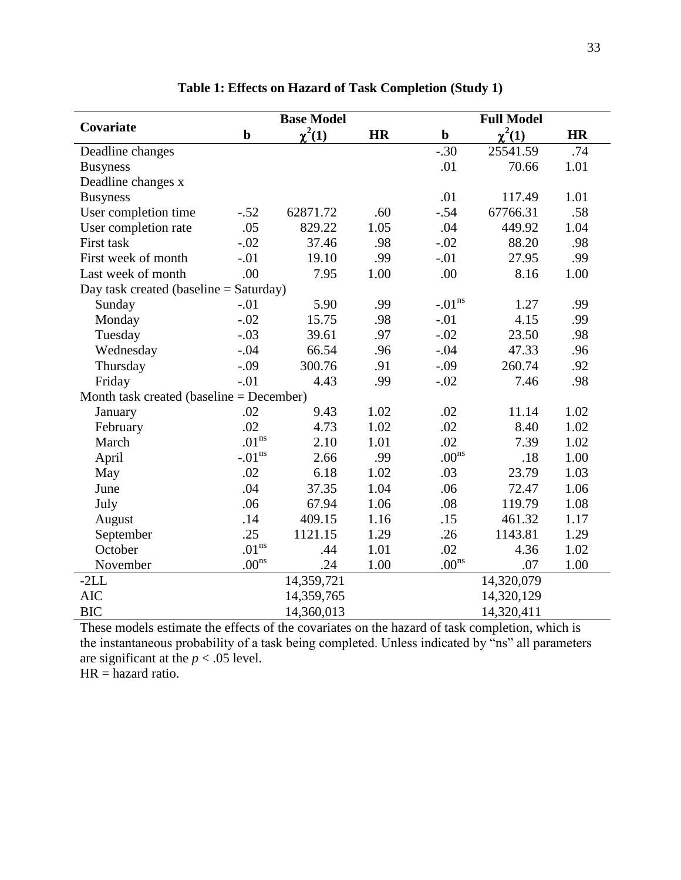| Covariate                                | <b>Base Model</b> |             |           |                   | <b>Full Model</b> |           |  |
|------------------------------------------|-------------------|-------------|-----------|-------------------|-------------------|-----------|--|
|                                          | $\mathbf b$       | $\chi^2(1)$ | <b>HR</b> | $\mathbf b$       | $\chi^2(1)$       | <b>HR</b> |  |
| Deadline changes                         |                   |             |           | $-.30$            | 25541.59          | .74       |  |
| <b>Busyness</b>                          |                   |             |           | .01               | 70.66             | 1.01      |  |
| Deadline changes x                       |                   |             |           |                   |                   |           |  |
| <b>Busyness</b>                          |                   |             |           | .01               | 117.49            | 1.01      |  |
| User completion time                     | $-.52$            | 62871.72    | .60       | $-.54$            | 67766.31          | .58       |  |
| User completion rate                     | .05               | 829.22      | 1.05      | .04               | 449.92            | 1.04      |  |
| First task                               | $-.02$            | 37.46       | .98       | $-.02$            | 88.20             | .98       |  |
| First week of month                      | $-.01$            | 19.10       | .99       | $-.01$            | 27.95             | .99       |  |
| Last week of month                       | .00               | 7.95        | 1.00      | .00               | 8.16              | 1.00      |  |
| Day task created (baseline $=$ Saturday) |                   |             |           |                   |                   |           |  |
| Sunday                                   | $-.01$            | 5.90        | .99       | $-.01ns$          | 1.27              | .99       |  |
| Monday                                   | $-.02$            | 15.75       | .98       | $-.01$            | 4.15              | .99       |  |
| Tuesday                                  | $-.03$            | 39.61       | .97       | $-.02$            | 23.50             | .98       |  |
| Wednesday                                | $-.04$            | 66.54       | .96       | $-.04$            | 47.33             | .96       |  |
| Thursday                                 | $-.09$            | 300.76      | .91       | $-.09$            | 260.74            | .92       |  |
| Friday                                   | $-.01$            | 4.43        | .99       | $-.02$            | 7.46              | .98       |  |
| Month task created (baseline = December) |                   |             |           |                   |                   |           |  |
| January                                  | .02               | 9.43        | 1.02      | .02               | 11.14             | 1.02      |  |
| February                                 | .02               | 4.73        | 1.02      | .02               | 8.40              | 1.02      |  |
| March                                    | $.01^{\rm ns}$    | 2.10        | 1.01      | .02               | 7.39              | 1.02      |  |
| April                                    | $-.01ns$          | 2.66        | .99       | .00 <sup>ns</sup> | .18               | 1.00      |  |
| May                                      | .02               | 6.18        | 1.02      | .03               | 23.79             | 1.03      |  |
| June                                     | .04               | 37.35       | 1.04      | .06               | 72.47             | 1.06      |  |
| July                                     | .06               | 67.94       | 1.06      | .08               | 119.79            | 1.08      |  |
| August                                   | .14               | 409.15      | 1.16      | .15               | 461.32            | 1.17      |  |
| September                                | .25               | 1121.15     | 1.29      | .26               | 1143.81           | 1.29      |  |
| October                                  | $.01^{\rm ns}$    | .44         | 1.01      | .02               | 4.36              | 1.02      |  |
| November                                 | $.00^{\rm ns}$    | .24         | 1.00      | .00 <sup>ns</sup> | .07               | 1.00      |  |
| $-2LL$                                   |                   | 14,359,721  |           |                   | 14,320,079        |           |  |
| <b>AIC</b>                               |                   | 14,359,765  |           |                   | 14,320,129        |           |  |
| <b>BIC</b>                               |                   | 14,360,013  |           |                   | 14,320,411        |           |  |

# **Table 1: Effects on Hazard of Task Completion (Study 1)**

These models estimate the effects of the covariates on the hazard of task completion, which is the instantaneous probability of a task being completed. Unless indicated by "ns" all parameters are significant at the  $p < .05$  level.

 $HR =$  hazard ratio.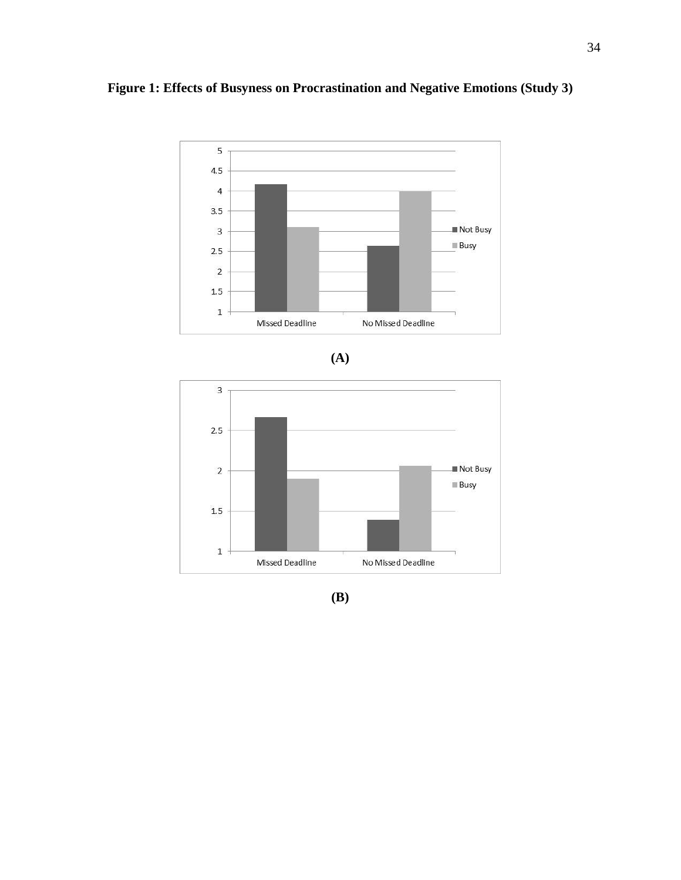



**(A)**



**(B)**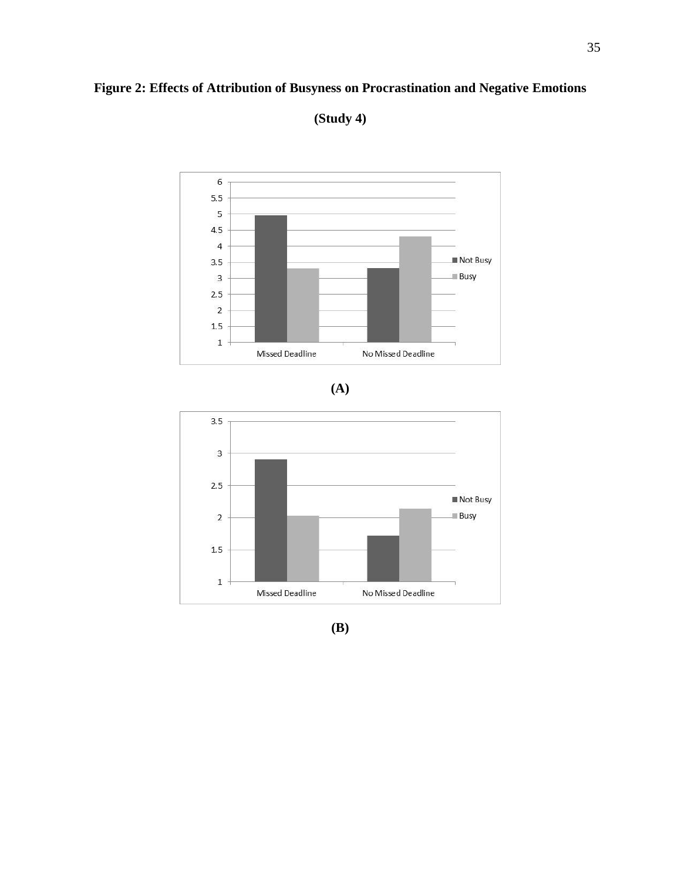# **Figure 2: Effects of Attribution of Busyness on Procrastination and Negative Emotions**



**(Study 4)**





**(B)**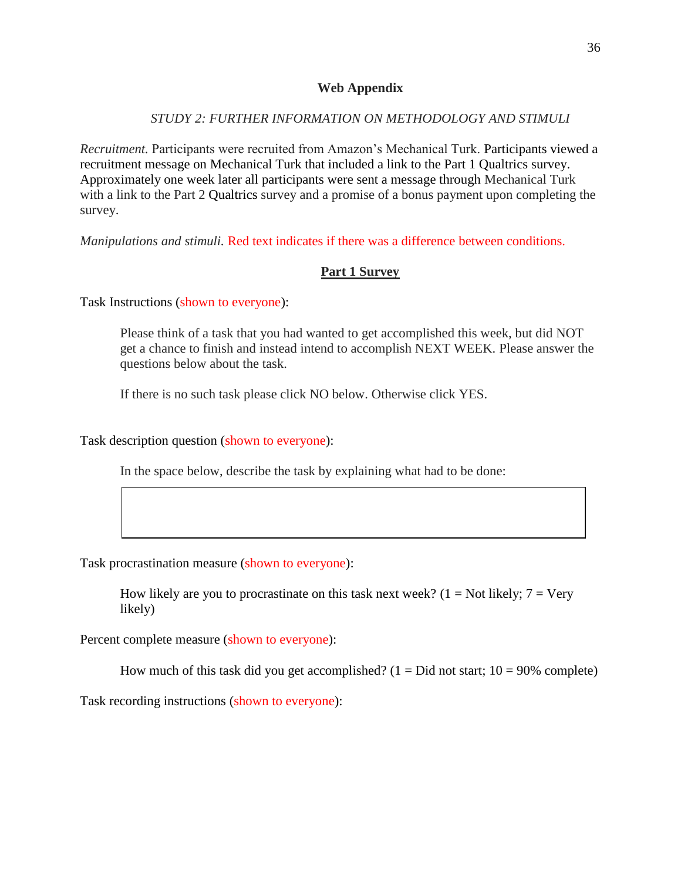## **Web Appendix**

# *STUDY 2: FURTHER INFORMATION ON METHODOLOGY AND STIMULI*

*Recruitment.* Participants were recruited from Amazon's Mechanical Turk. Participants viewed a recruitment message on Mechanical Turk that included a link to the Part 1 Qualtrics survey. Approximately one week later all participants were sent a message through Mechanical Turk with a link to the Part 2 Qualtrics survey and a promise of a bonus payment upon completing the survey.

*Manipulations and stimuli.* Red text indicates if there was a difference between conditions.

# **Part 1 Survey**

Task Instructions (shown to everyone):

Please think of a task that you had wanted to get accomplished this week, but did NOT get a chance to finish and instead intend to accomplish NEXT WEEK. Please answer the questions below about the task.

If there is no such task please click NO below. Otherwise click YES.

Task description question (shown to everyone):

In the space below, describe the task by explaining what had to be done:

Task procrastination measure (shown to everyone):

How likely are you to procrastinate on this task next week? ( $1 = Not$  likely;  $7 = Very$ likely)

Percent complete measure (shown to everyone):

How much of this task did you get accomplished?  $(1 = Did not start; 10 = 90\% complete)$ 

Task recording instructions (shown to everyone):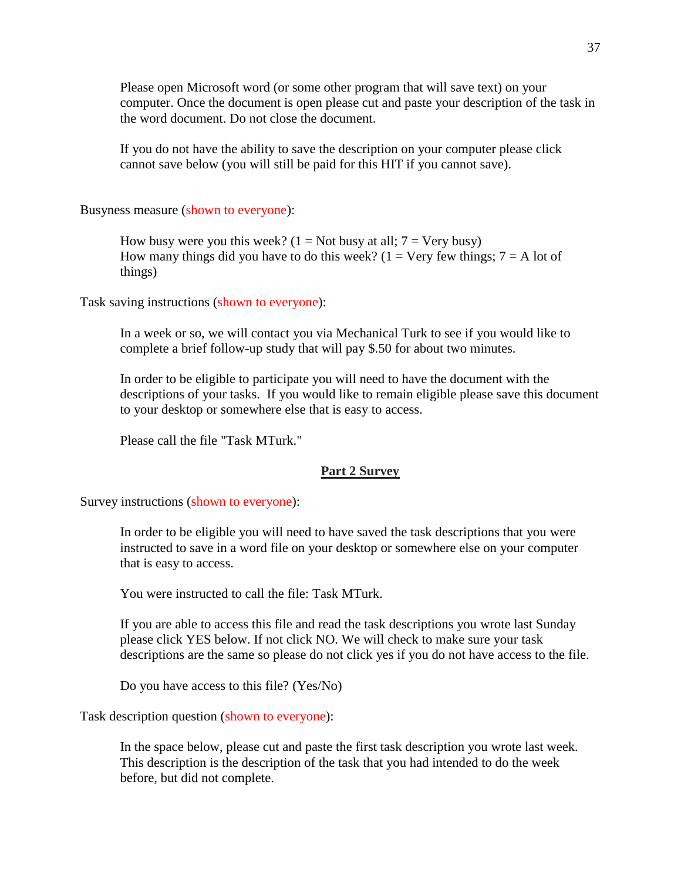Please open Microsoft word (or some other program that will save text) on your computer. Once the document is open please cut and paste your description of the task in the word document. Do not close the document.

If you do not have the ability to save the description on your computer please click cannot save below (you will still be paid for this HIT if you cannot save).

Busyness measure (shown to everyone):

How busy were you this week?  $(1 = Not busy at all; 7 = Very busy)$ How many things did you have to do this week? ( $1 =$  Very few things;  $7 =$  A lot of things)

Task saving instructions (shown to everyone):

In a week or so, we will contact you via Mechanical Turk to see if you would like to complete a brief follow-up study that will pay \$.50 for about two minutes.

In order to be eligible to participate you will need to have the document with the descriptions of your tasks. If you would like to remain eligible please save this document to your desktop or somewhere else that is easy to access.

Please call the file "Task MTurk."

#### **Part 2 Survey**

Survey instructions (shown to everyone):

In order to be eligible you will need to have saved the task descriptions that you were instructed to save in a word file on your desktop or somewhere else on your computer that is easy to access.

You were instructed to call the file: Task MTurk.

If you are able to access this file and read the task descriptions you wrote last Sunday please click YES below. If not click NO. We will check to make sure your task descriptions are the same so please do not click yes if you do not have access to the file.

Do you have access to this file? (Yes/No)

Task description question (shown to everyone):

In the space below, please cut and paste the first task description you wrote last week. This description is the description of the task that you had intended to do the week before, but did not complete.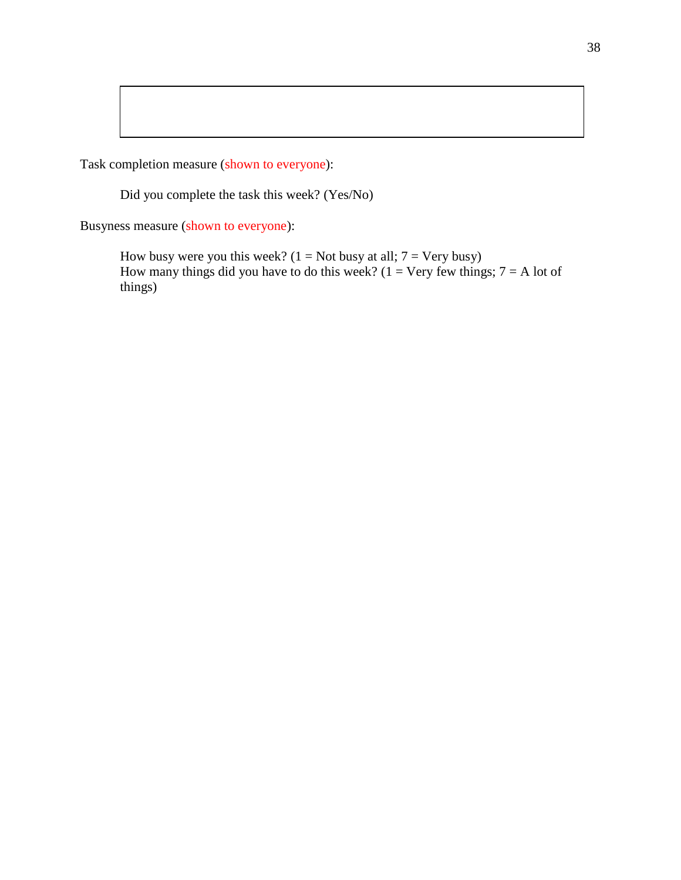Task completion measure (shown to everyone):

Did you complete the task this week? (Yes/No)

Busyness measure (shown to everyone):

How busy were you this week?  $(1 = Not busy at all; 7 = Very busy)$ How many things did you have to do this week? ( $1 = \text{Very few things}; 7 = \text{ A lot of}$ ) things)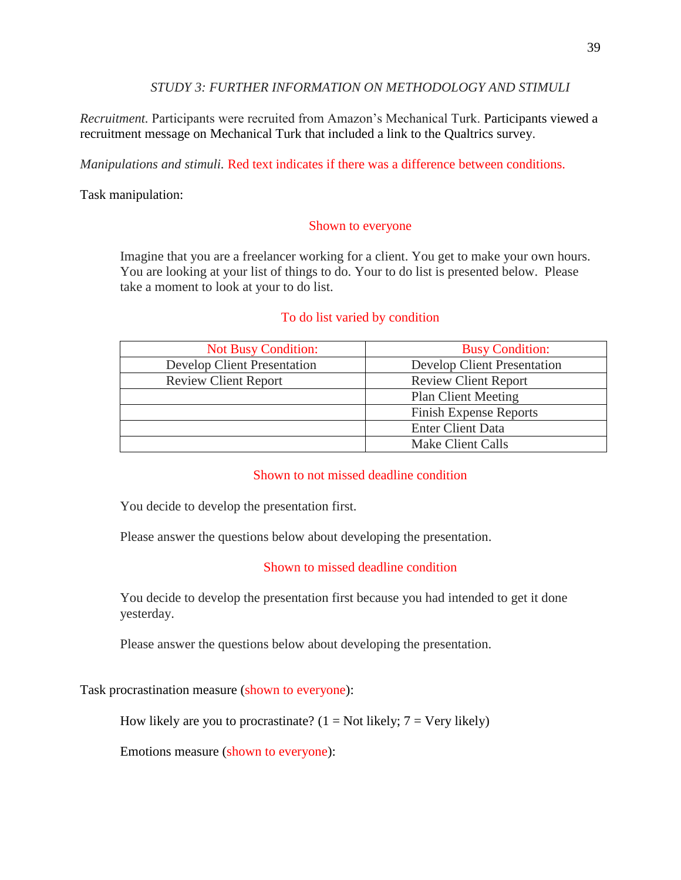## *STUDY 3: FURTHER INFORMATION ON METHODOLOGY AND STIMULI*

*Recruitment.* Participants were recruited from Amazon's Mechanical Turk. Participants viewed a recruitment message on Mechanical Turk that included a link to the Qualtrics survey.

*Manipulations and stimuli.* Red text indicates if there was a difference between conditions.

Task manipulation:

# Shown to everyone

Imagine that you are a freelancer working for a client. You get to make your own hours. You are looking at your list of things to do. Your to do list is presented below. Please take a moment to look at your to do list.

# To do list varied by condition

| <b>Not Busy Condition:</b>         | <b>Busy Condition:</b>        |  |  |
|------------------------------------|-------------------------------|--|--|
| <b>Develop Client Presentation</b> | Develop Client Presentation   |  |  |
| <b>Review Client Report</b>        | <b>Review Client Report</b>   |  |  |
|                                    | <b>Plan Client Meeting</b>    |  |  |
|                                    | <b>Finish Expense Reports</b> |  |  |
|                                    | <b>Enter Client Data</b>      |  |  |
|                                    | Make Client Calls             |  |  |

# Shown to not missed deadline condition

You decide to develop the presentation first.

Please answer the questions below about developing the presentation.

# Shown to missed deadline condition

You decide to develop the presentation first because you had intended to get it done yesterday.

Please answer the questions below about developing the presentation.

Task procrastination measure (shown to everyone):

How likely are you to procrastinate?  $(1 = Not likely; 7 = Very likely)$ 

Emotions measure (shown to everyone):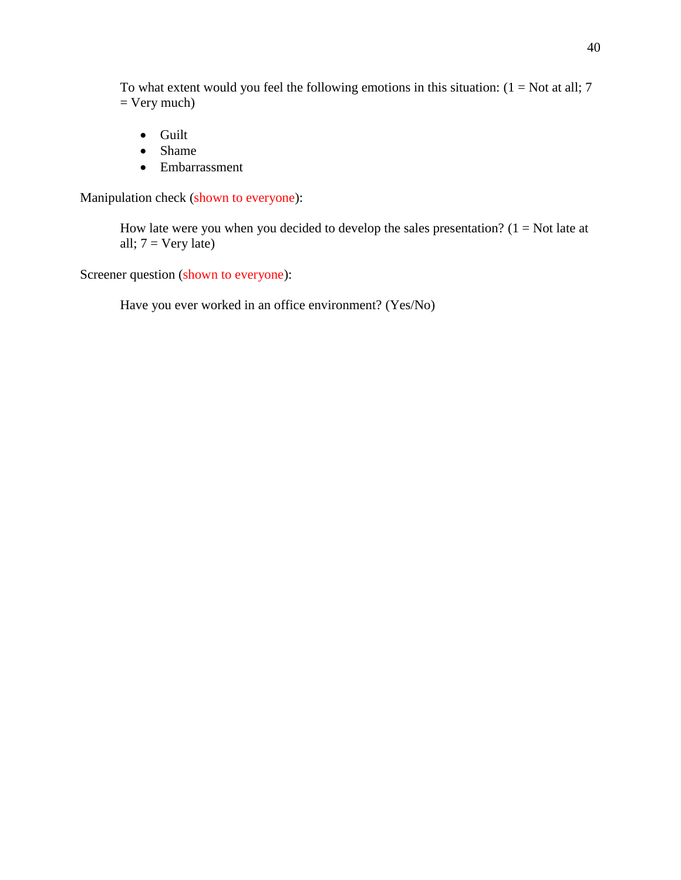To what extent would you feel the following emotions in this situation:  $(1 = Not at all; 7)$  $=$  Very much)

- Guilt
- Shame
- Embarrassment

Manipulation check (shown to everyone):

How late were you when you decided to develop the sales presentation?  $(1 = Not$  late at all;  $7 = \text{Very late}$ )

Screener question (shown to everyone):

Have you ever worked in an office environment? (Yes/No)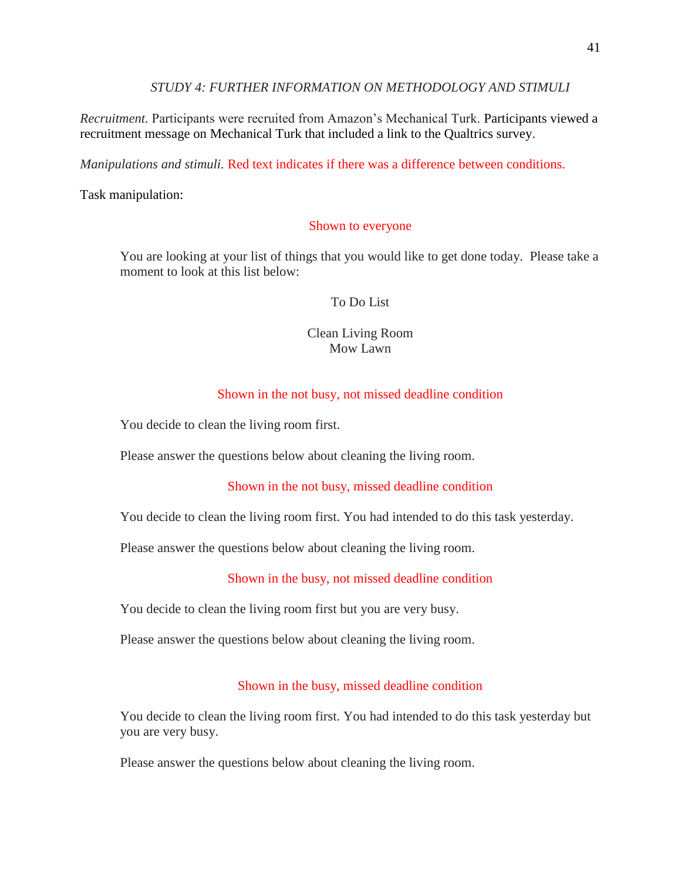*STUDY 4: FURTHER INFORMATION ON METHODOLOGY AND STIMULI*

*Recruitment.* Participants were recruited from Amazon's Mechanical Turk. Participants viewed a recruitment message on Mechanical Turk that included a link to the Qualtrics survey.

*Manipulations and stimuli.* Red text indicates if there was a difference between conditions.

Task manipulation:

## Shown to everyone

You are looking at your list of things that you would like to get done today. Please take a moment to look at this list below:

## To Do List

# Clean Living Room Mow Lawn

# Shown in the not busy, not missed deadline condition

You decide to clean the living room first.

Please answer the questions below about cleaning the living room.

# Shown in the not busy, missed deadline condition

You decide to clean the living room first. You had intended to do this task yesterday.

Please answer the questions below about cleaning the living room.

# Shown in the busy, not missed deadline condition

You decide to clean the living room first but you are very busy.

Please answer the questions below about cleaning the living room.

# Shown in the busy, missed deadline condition

You decide to clean the living room first. You had intended to do this task yesterday but you are very busy.

Please answer the questions below about cleaning the living room.